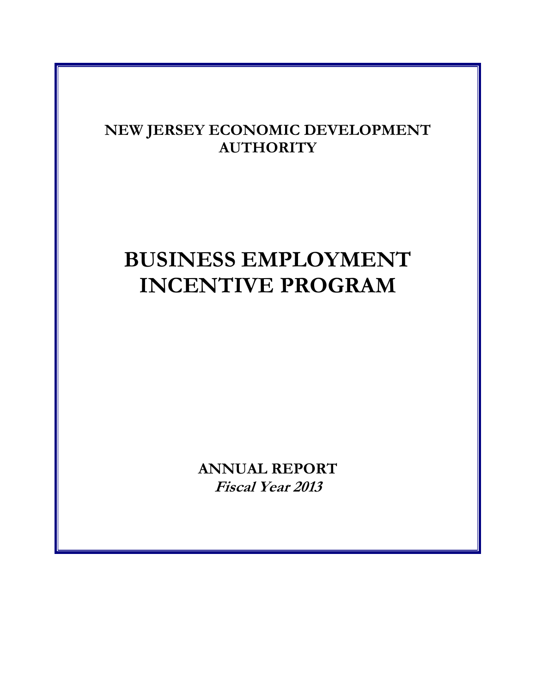## **NEW JERSEY ECONOMIC DEVELOPMENT AUTHORITY**

# **BUSINESS EMPLOYMENT INCENTIVE PROGRAM**

**ANNUAL REPORT Fiscal Year 2013**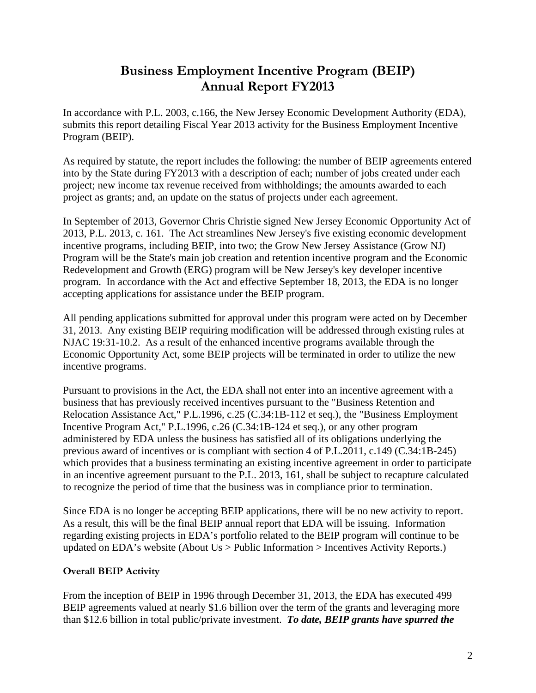## **Business Employment Incentive Program (BEIP) Annual Report FY2013**

In accordance with P.L. 2003, c.166, the New Jersey Economic Development Authority (EDA), submits this report detailing Fiscal Year 2013 activity for the Business Employment Incentive Program (BEIP).

As required by statute, the report includes the following: the number of BEIP agreements entered into by the State during FY2013 with a description of each; number of jobs created under each project; new income tax revenue received from withholdings; the amounts awarded to each project as grants; and, an update on the status of projects under each agreement.

In September of 2013, Governor Chris Christie signed New Jersey Economic Opportunity Act of 2013, P.L. 2013, c. 161. The Act streamlines New Jersey's five existing economic development incentive programs, including BEIP, into two; the Grow New Jersey Assistance (Grow NJ) Program will be the State's main job creation and retention incentive program and the Economic Redevelopment and Growth (ERG) program will be New Jersey's key developer incentive program. In accordance with the Act and effective September 18, 2013, the EDA is no longer accepting applications for assistance under the BEIP program.

All pending applications submitted for approval under this program were acted on by December 31, 2013. Any existing BEIP requiring modification will be addressed through existing rules at NJAC 19:31-10.2. As a result of the enhanced incentive programs available through the Economic Opportunity Act, some BEIP projects will be terminated in order to utilize the new incentive programs.

Pursuant to provisions in the Act, the EDA shall not enter into an incentive agreement with a business that has previously received incentives pursuant to the "Business Retention and Relocation Assistance Act," P.L.1996, c.25 (C.34:1B-112 et seq.), the "Business Employment Incentive Program Act," P.L.1996, c.26 (C.34:1B-124 et seq.), or any other program administered by EDA unless the business has satisfied all of its obligations underlying the previous award of incentives or is compliant with section 4 of P.L.2011, c.149 (C.34:1B-245) which provides that a business terminating an existing incentive agreement in order to participate in an incentive agreement pursuant to the P.L. 2013, 161, shall be subject to recapture calculated to recognize the period of time that the business was in compliance prior to termination.

Since EDA is no longer be accepting BEIP applications, there will be no new activity to report. As a result, this will be the final BEIP annual report that EDA will be issuing. Information regarding existing projects in EDA's portfolio related to the BEIP program will continue to be updated on EDA's website (About Us > Public Information > Incentives Activity Reports.)

## **Overall BEIP Activity**

From the inception of BEIP in 1996 through December 31, 2013, the EDA has executed 499 BEIP agreements valued at nearly \$1.6 billion over the term of the grants and leveraging more than \$12.6 billion in total public/private investment. *To date, BEIP grants have spurred the*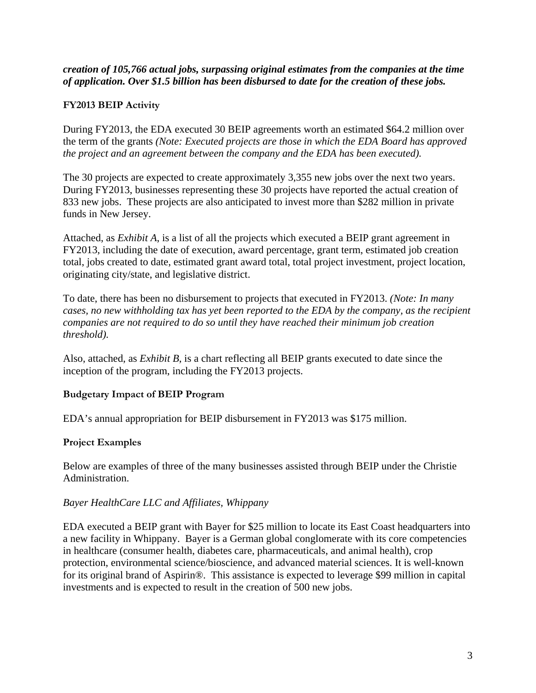*creation of 105,766 actual jobs, surpassing original estimates from the companies at the time of application. Over \$1.5 billion has been disbursed to date for the creation of these jobs.*

## **FY2013 BEIP Activity**

During FY2013, the EDA executed 30 BEIP agreements worth an estimated \$64.2 million over the term of the grants *(Note: Executed projects are those in which the EDA Board has approved the project and an agreement between the company and the EDA has been executed).*

The 30 projects are expected to create approximately 3,355 new jobs over the next two years. During FY2013, businesses representing these 30 projects have reported the actual creation of 833 new jobs. These projects are also anticipated to invest more than \$282 million in private funds in New Jersey.

Attached, as *Exhibit A*, is a list of all the projects which executed a BEIP grant agreement in FY2013, including the date of execution, award percentage, grant term, estimated job creation total, jobs created to date, estimated grant award total, total project investment, project location, originating city/state, and legislative district.

To date, there has been no disbursement to projects that executed in FY2013. *(Note: In many cases, no new withholding tax has yet been reported to the EDA by the company, as the recipient companies are not required to do so until they have reached their minimum job creation threshold).* 

Also, attached, as *Exhibit B*, is a chart reflecting all BEIP grants executed to date since the inception of the program, including the FY2013 projects.

## **Budgetary Impact of BEIP Program**

EDA's annual appropriation for BEIP disbursement in FY2013 was \$175 million.

## **Project Examples**

Below are examples of three of the many businesses assisted through BEIP under the Christie Administration.

## *Bayer HealthCare LLC and Affiliates, Whippany*

EDA executed a BEIP grant with Bayer for \$25 million to locate its East Coast headquarters into a new facility in Whippany. Bayer is a German global conglomerate with its core competencies in healthcare (consumer health, diabetes care, pharmaceuticals, and animal health), crop protection, environmental science/bioscience, and advanced material sciences. It is well-known for its original brand of Aspirin®. This assistance is expected to leverage \$99 million in capital investments and is expected to result in the creation of 500 new jobs.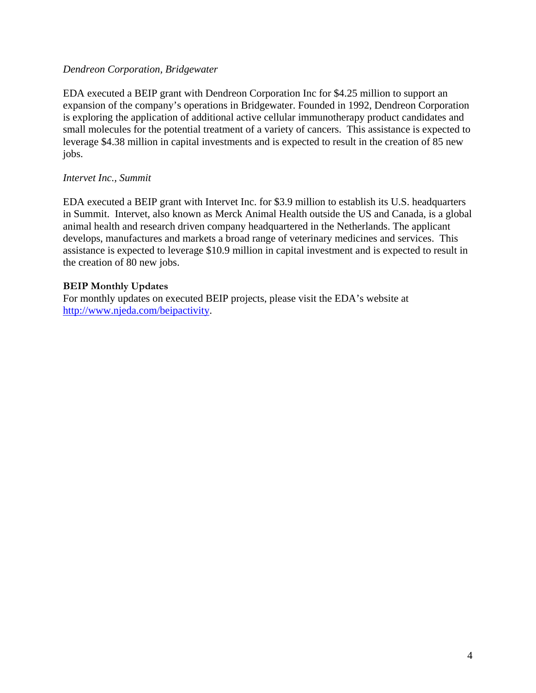## *Dendreon Corporation, Bridgewater*

EDA executed a BEIP grant with Dendreon Corporation Inc for \$4.25 million to support an expansion of the company's operations in Bridgewater. Founded in 1992, Dendreon Corporation is exploring the application of additional active cellular immunotherapy product candidates and small molecules for the potential treatment of a variety of cancers. This assistance is expected to leverage \$4.38 million in capital investments and is expected to result in the creation of 85 new jobs.

## *Intervet Inc., Summit*

EDA executed a BEIP grant with Intervet Inc. for \$3.9 million to establish its U.S. headquarters in Summit. Intervet, also known as Merck Animal Health outside the US and Canada, is a global animal health and research driven company headquartered in the Netherlands. The applicant develops, manufactures and markets a broad range of veterinary medicines and services. This assistance is expected to leverage \$10.9 million in capital investment and is expected to result in the creation of 80 new jobs.

## **BEIP Monthly Updates**

For monthly updates on executed BEIP projects, please visit the EDA's website at http://www.njeda.com/beipactivity.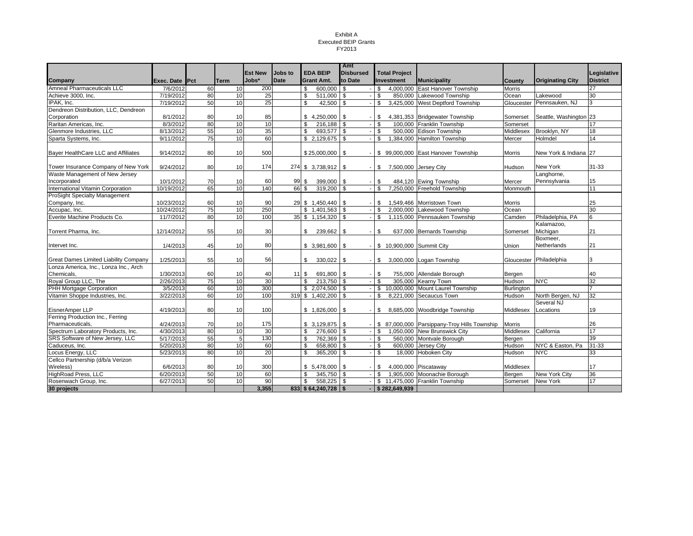#### Exhibit A Executed BEIP Grants FY2013

|                                              |                    |    |                 |                |             |                |                    | Amt              |              |                           |                                              |               |                         |                 |
|----------------------------------------------|--------------------|----|-----------------|----------------|-------------|----------------|--------------------|------------------|--------------|---------------------------|----------------------------------------------|---------------|-------------------------|-----------------|
|                                              |                    |    |                 | <b>Est New</b> | Jobs to     |                | <b>EDA BEIP</b>    | <b>Disbursed</b> |              | <b>Total Project</b>      |                                              |               |                         | Legislative     |
| Company                                      | Exec. Date IPct    |    | Term            | Jobs*          | <b>Date</b> |                | <b>Grant Amt.</b>  | to Date          |              | Investment                | <b>Municipality</b>                          | Countv        | <b>Originating City</b> | <b>District</b> |
| Amneal Pharmaceuticals LLC                   | 7/6/2012           | 60 | 10              | 200            |             | \$             | 600,000 \$         |                  | \$           |                           | 4,000,000 East Hanover Township              | Morris        |                         | 27              |
| Achieve 3000, Inc.                           | 7/19/2012          | 80 | 10              | 25             |             | \$             | 511,000            | \$               | \$           |                           | 850,000 Lakewood Township                    | Ocean         | Lakewood                | 30              |
| IPAK, Inc.                                   | 7/19/2012          | 50 | 10              | 25             |             | \$             | 42,500             | \$               | \$           |                           | 3,425,000 West Deptford Township             | Gloucester    | Pennsauken, NJ          |                 |
| Dendreon Distribution, LLC, Dendreon         |                    |    |                 |                |             |                |                    |                  |              |                           |                                              |               |                         |                 |
| Corporation                                  | 8/1/2012           | 80 | 10              | 85             |             |                | \$4,250,000        | \$               | S.           |                           | 4,381,353 Bridgewater Township               | Somerset      | Seattle, Washington 23  |                 |
| Raritan Americas, Inc.                       | 8/3/2012           | 80 | 10              | 10             |             | \$.            | $216.188$ \$       |                  | $\mathbf{s}$ |                           | 100,000 Franklin Township                    | Somerset      |                         | 17              |
| Glenmore Industries, LLC                     | 8/13/2012          | 55 | 10              | 35             |             | \$             | 693,577            | \$               | \$           |                           | 500.000 Edison Township                      | Middlesex     | Brooklyn, NY            | 18              |
| Sparta Systems, Inc.                         | 9/11/2012          | 75 | 10              | 60             |             |                | \$2,129,675        |                  | S.           |                           | 1,384,000 Hamilton Township                  | Mercer        | Holmdel                 | 14              |
|                                              |                    |    |                 |                |             |                |                    |                  |              |                           |                                              |               |                         |                 |
| Bayer HealthCare LLC and Affiliates          | 9/14/2012          | 80 | 10              | 500            |             |                | \$25,000,000       | \$               |              |                           | \$99,000,000 East Hanover Township           | Morris        | New York & Indiana 27   |                 |
|                                              |                    |    |                 |                |             |                |                    |                  |              |                           |                                              |               |                         |                 |
| Tower Insurance Company of New York          | 9/24/2012          | 80 | 10              | 174            |             |                | 274 \$ 3,738,912   | \$               | $-1$ \$      |                           | 7,500,000 Jersey City                        | Hudson        | New York                | 31-33           |
| Waste Management of New Jersey               |                    |    |                 |                |             |                |                    |                  |              |                           |                                              |               | Langhorne,              |                 |
| Incorporated                                 | 10/1/2012          | 70 | 10              | 60             | 99          | \$             | 399,000            | \$               | -\$          |                           | 484,120 Ewing Township                       | Mercer        | Pennsylvania            | 15              |
| International Vitamin Corporation            | 10/19/2012         | 65 | 10              | 140            | 66          | \$             | 319,200            | s,               | $\mathbf{s}$ |                           | 7.250.000 Freehold Township                  | Monmouth      |                         | 11              |
| <b>ProSight Specialty Management</b>         |                    |    |                 |                |             |                |                    |                  |              |                           |                                              |               |                         |                 |
| Company, Inc.                                | 10/23/2012         | 60 | 10              | 90             |             |                | 29 \$ 1,450,440 \$ |                  | $-1$ \$      |                           | 1.549.466 Morristown Town                    | <b>Morris</b> |                         | 25              |
| Accupac, Inc.                                | 10/24/2012         | 75 | 10              | 250            |             |                | \$1,401,563        |                  | \$           |                           | 2,000,000 Lakewood Township                  | Ocean         |                         | 30              |
| Everite Machine Products Co.                 | 11/7/2012          | 80 | 10              | 100            |             |                | 35 \$ 1,154,320 \$ |                  | l S          |                           | 1,115,000 Pennsauken Township                | Camden        | Philadelphia, PA        | 6               |
|                                              |                    |    |                 |                |             |                |                    |                  |              |                           |                                              |               | Kalamazoo,              |                 |
| Torrent Pharma. Inc.                         | 12/14/2012         | 55 | 10              | 30             |             | \$             | 239,662            | -S               | \$           |                           | 637,000 Bernards Township                    | Somerset      | Michigan                | 21              |
|                                              |                    |    |                 |                |             |                |                    |                  |              |                           |                                              |               | Boxmeer,                |                 |
| Intervet Inc.                                | 1/4/2013           | 45 | 10              | 80             |             |                | \$3,981,600        | \$               |              | \$ 10,900,000 Summit City |                                              | Union         | Netherlands             | 21              |
|                                              |                    |    |                 |                |             |                |                    |                  |              |                           |                                              |               |                         |                 |
| <b>Great Dames Limited Liability Company</b> | 1/25/2013          | 55 | 10              | 56             |             | \$             | 330,022            | \$               | $-1$ \$      |                           | 3,000,000 Logan Township                     | Gloucester    | Philadelphia            | 3               |
| Lonza America, Inc., Lonza Inc., Arch        |                    |    |                 |                |             |                |                    |                  |              |                           |                                              |               |                         |                 |
| Chemicals,                                   | 1/30/2013          | 60 | 10              | 40             | 11S         |                | 691,800            | \$               | \$           |                           | 755,000 Allendale Borough                    | Bergen        |                         | 40              |
| Royal Group LLC, The                         | 2/26/2013          | 75 | 10              | 30             |             | $\mathfrak{L}$ | 213,750 \$         |                  | $\mathbf{s}$ |                           | 305,000 Kearny Town                          | Hudson        | <b>NYC</b>              | 32              |
| PHH Mortgage Corporation                     | 3/5/2013           | 60 | 10              | 300            |             |                | \$2,074,500        | \$               | $\bullet$    |                           | 10,000,000 Mount Laurel Township             | Burlington    |                         |                 |
| Vitamin Shoppe Industries, Inc.              | 3/22/2013          | 60 | 10              | 100            |             |                | 319 \$ 1,402,200   | \$               | S.           |                           | 8,221,000 Secaucus Town                      | Hudson        | North Bergen, NJ        | 32              |
|                                              |                    |    |                 |                |             |                |                    |                  |              |                           |                                              |               | Several NJ              |                 |
| EisnerAmper LLP                              | 4/19/2013          | 80 | 10              | 100            |             |                | \$1,826,000        | \$               | $-5$         |                           | 8,685,000 Woodbridge Township                | Middlesex     | Locations               | 19              |
| Ferring Production Inc., Ferring             |                    |    |                 |                |             |                |                    |                  |              |                           |                                              |               |                         |                 |
| Pharmaceuticals.                             | 4/24/2013          | 70 | 10              | 175            |             |                | \$3,129,875        | \$               |              |                           | \$ 87,000,000 Parsippany-Troy Hills Township | <b>Morris</b> |                         | 26              |
| Spectrum Laboratory Products, Inc.           | 4/30/2013          | 80 | 10              | 30             |             | \$             | 276,600 \$         |                  | \$           |                           | 1,050,000 New Brunswick City                 | Middlesex     | California              | 17              |
| SRS Software of New Jersey, LLC              | 5/17/2013          | 55 | $5\overline{5}$ | 130            |             | \$             | 762.369 \$         |                  | \$           |                           | 560,000 Montvale Borough                     | Bergen        |                         | 39              |
| Caduceus, Inc.                               | $\sqrt{5/20/2013}$ | 80 | 10              | 60             |             | \$             | 658,800            | \$               | \$           |                           | 600,000 Jersey City                          | Hudson        | NYC & Easton, Pa        | $31 - 33$       |
| Locus Energy, LLC                            | 5/23/2013          | 80 | 10              | 20             |             | \$             | 365,200            | \$               | \$           |                           | 18,000 Hoboken City                          | Hudson        | <b>NYC</b>              | 33              |
| Cellco Partnership (d/b/a Verizon            |                    |    |                 |                |             |                |                    |                  |              |                           |                                              |               |                         |                 |
| Wireless)                                    | 6/6/2013           | 80 | 10              | 300            |             |                | \$5,478,000        | -\$              | \$           |                           | 4,000,000 Piscataway                         | Middlesex     |                         | 17              |
| HighRoad Press, LLC                          | 6/20/2013          | 50 | 10              | 60             |             | $\mathfrak{L}$ | 345,750            | \$               | $\mathbf{s}$ |                           | 1,905,000 Moonachie Borough                  | Bergen        | <b>New York City</b>    | 36              |
| Rosenwach Group, Inc.                        | 6/27/2013          | 50 | 10              | 90             |             | s,             | 558,225 \$         |                  |              |                           | \$11,475,000 Franklin Township               | Somerset      | New York                | 17              |
| 30 projects                                  |                    |    |                 | 3,355          |             |                | 833 \$64,240,728   | \$               |              | \$282,649,939             |                                              |               |                         |                 |
|                                              |                    |    |                 |                |             |                |                    |                  |              |                           |                                              |               |                         |                 |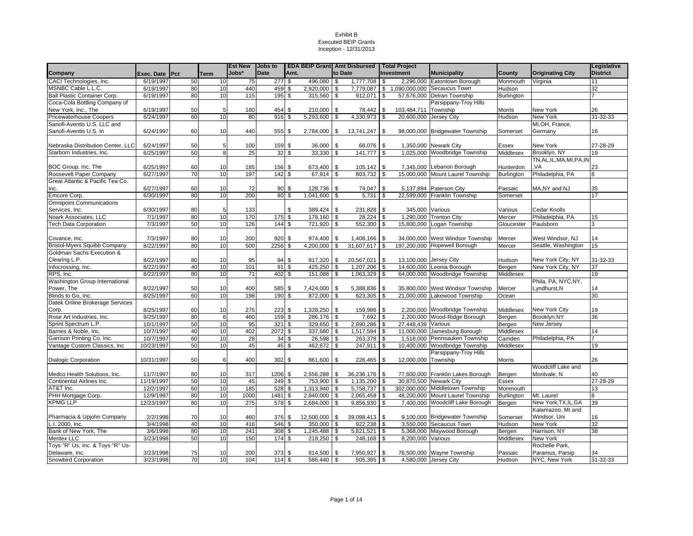|                                     |                |    |             | <b>Est New</b> | <b>Jobs to</b> |          |              |            | <b>EDA BEIP Grant Amt Disbursed   Total Project</b> |            |                     |                                          |                     |                         | Legislative     |
|-------------------------------------|----------------|----|-------------|----------------|----------------|----------|--------------|------------|-----------------------------------------------------|------------|---------------------|------------------------------------------|---------------------|-------------------------|-----------------|
| Company                             | Exec. Date Pct |    | <b>Term</b> | Jobs*          | <b>Date</b>    | Amt.     |              |            | to Date                                             | Investment |                     | <b>Municipality</b>                      | County              | <b>Originating City</b> | <b>District</b> |
| CACI Technologies, Inc.             | 6/19/1997      | 50 | 10          | 75             | 277            | <b>S</b> | 496,080 \$   |            | 1,777,708 \$                                        |            |                     | 2,296,000 Eatontown Borough              | Monmouth            | Virginia                | 11              |
| MSNBC Cable L.L.C.                  | 6/19/1997      | 80 | 10          | 440            | 459 \$         |          | 2,920,000 \$ |            |                                                     |            |                     | 7,779,087 \$ 1,090,000,000 Secaucus Town | Hudson              |                         | 32              |
| Ball Plastic Container Corp.        | 6/19/1997      | 80 | 10          | 115            | 195S           |          | 315,560 \$   |            | 912,071 \$                                          |            |                     | 57,676,000 Delran Township               | Burlington          |                         |                 |
| Coca-Cola Bottling Company of       |                |    |             |                |                |          |              |            |                                                     |            |                     | Parsippany-Troy Hills                    |                     |                         |                 |
| New York, Inc., The                 | 6/19/1997      | 50 | 5           | 180            | 454            | \$       | 210,000      | <b>S</b>   | 78,442 \$                                           |            | 103,484,711         | Township                                 | Morris              | New York                | 26              |
| <b>Pricewaterhouse Coopers</b>      | 6/24/1997      | 60 | 10          | 80             | 916            | \$       | 5,293,600    | \$         | 4,330,973                                           | \$         | 20,600,000          | Jersey City                              | Hudson              | New York                | 31-32-33        |
| Sanofi-Aventis U.S. LLC and         |                |    |             |                |                |          |              |            |                                                     |            |                     |                                          |                     | MI, OH, France,         |                 |
| Sanofi-Aventis U.S. In              | 6/24/1997      | 60 | 10          | 440            | 555 \$         |          | 2,784,000 \$ |            | 13,741,247 \$                                       |            |                     | 98,000,000 Bridgewater Township          | Somerset            | Germany                 | 16              |
|                                     |                |    |             |                |                |          |              |            |                                                     |            |                     |                                          |                     |                         |                 |
| Nebraska Distribution Center, LLC   | 6/24/1997      | 50 | 5           | 100            | 159 \$         |          | 36,000       | \$         | 68,076 \$                                           |            |                     | 1,350,000 Newark City                    | Essex               | New York                | 27-28-29        |
| Starborn Industries, Inc.           | 6/25/1997      | 50 | 8           | 25             |                | 32S      | $33,330$ \$  |            | 141,777 \$                                          |            |                     | 1,025,000 Woodbridge Township            | Middlesex           | Brooklyn, NY            | 19              |
|                                     |                |    |             |                |                |          |              |            |                                                     |            |                     |                                          |                     | TN,AL,IL,MA,MI,PA,IN    |                 |
| BOC Group, Inc. The                 | 6/25/1997      | 60 | 10          | 185            | 156 \$         |          | 673,400      | <b>S</b>   | $105, 142$ \$                                       |            |                     | 7,345,000 Lebanon Borough                | Hunterdon           | VA.                     | 23              |
| Roosevelt Paper Company             | 6/27/1997      | 70 | 10          | 197            | 142            | -\$      | 67,914       | l \$       | 803,732                                             | \$         |                     | 15,000,000 Mount Laurel Township         | Burlington          | Philadelphia, PA        | 8               |
| Great Atlantic & Pacific Tea Co.    |                |    |             |                |                |          |              |            |                                                     |            |                     |                                          |                     |                         |                 |
| Inc.                                | 6/27/1997      | 60 | 10          | 72             |                | $90$ \$  | 128,736      | <b>S</b>   | 74,047 \$                                           |            |                     | 5,137,894 Paterson City                  | Passaic             | MA, NY and NJ           | 35              |
| Emcore Corp.                        | 6/30/1997      | 80 | 10          | 200            |                | 80 \$    | 1,041,600 \$ |            | $5,731$ \$                                          |            |                     | 22,599,000 Franklin Township             | Somerset            |                         | 17              |
| <b>Omnipoint Communications</b>     |                |    |             |                |                |          |              |            |                                                     |            |                     |                                          |                     |                         |                 |
| Services, Inc.                      | 6/30/1997      | 80 | 5           | 133            |                | \$       | 389,424      | $\sqrt{3}$ | 231,828 \$                                          |            | 345,000 Various     |                                          | Various             | Cedar Knolls            |                 |
| Noark Associates, LLC               | 7/1/1997       | 80 | 10          | 170            | 175            | \$       | 178,160      | <b>S</b>   | 28,224 \$                                           |            |                     | 1,290,000 Trenton City                   | Mercer              | Philadelphia, PA        | 15              |
| <b>Tech Data Corporation</b>        | 7/3/1997       | 50 | 10          | 126            | 144            | \$       | 721,920      | \$         | 552,300 \$                                          |            | 15,800,000          | Logan Township                           | Gloucester          | Paulsboro               | 3               |
|                                     |                |    |             |                |                |          |              |            |                                                     |            |                     |                                          |                     |                         |                 |
| Covance, Inc.                       | 7/3/1997       | 80 | 10          | 200            | 920            | \$       | 974,400      | -\$        | 1,408,166                                           | - \$       |                     | 34,000,000 West Windsor Township         | Mercer              | West Windsor, NJ        | 14              |
| <b>Bristol-Myers Squibb Company</b> | 8/22/1997      | 80 | 10          | 500            | 2256           | \$       | 4,200,000    | \$         | 31,607,617 \$                                       |            |                     | 197,200,000 Hopewell Borough             | Mercer              | Seattle, Washington     | 15              |
| Goldman Sachs Execution &           |                |    |             |                |                |          |              |            |                                                     |            |                     |                                          |                     |                         |                 |
|                                     |                |    |             |                |                |          |              |            |                                                     |            |                     |                                          |                     |                         |                 |
| Clearing L.P.                       | 8/22/1997      | 80 | 10          | 95             | 94             | \$       | 917,320      | $\sqrt{3}$ | 20,567,021 \$                                       |            |                     | 13,100,000 Jersey City                   | Hudson              | New York City, NY       | 31-32-33        |
| Infocrossing, Inc.                  | 8/22/1997      | 40 | 10          | 101            | 91             | \$       | 425,250      | -\$        | 1,207,206 \$                                        |            |                     | 14,600,000 Leonia Borough                | Bergen              | New York City, NY       | 37              |
| RPS, Inc.                           | 8/22/1997      | 80 | 10          | 71             | 402            | \$       | 151,088      | \$         | 1,063,329 \$                                        |            |                     | 64,000,000 Woodbridge Township           | Middlesex           |                         | 19              |
| Washington Group International      |                |    |             |                |                |          |              |            |                                                     |            |                     |                                          |                     | Phila, PA, NYC, NY,     |                 |
| Power, The                          | 8/22/1997      | 50 | 10          | 400            | 585            | \$       | 7,424,000    | <b>S</b>   | 5,388,836                                           | l \$       |                     | 35,800,000 West Windsor Township         | Mercer              | Lyndhurst, N            | 14              |
| Blinds to Go, Inc.                  | 8/25/1997      | 60 | 10          | 198            | 190 \$         |          | 872,000 \$   |            | 623,305 \$                                          |            |                     | 21,000,000 Lakewood Township             | Ocean               |                         | 30              |
| Datek Online Brokerage Services     |                |    |             |                |                |          |              |            |                                                     |            |                     |                                          |                     |                         |                 |
| Corp.                               | 8/25/1997      | 60 | 10          | 275            | 223            | \$       | 1,328,250    | - \$       | 159,986                                             | \$         |                     | 2,200,000 Woodbridge Township            | Middlesex           | New York City           | 19              |
| Rose Art Industries, Inc.           | 9/25/1997      | 80 | 6           | 460            | 159            | \$       | 286,176      | \$         | 7,692                                               | \$         |                     | 2,200,000 Wood-Ridge Borough             | Bergen              | Brooklyn, NY            | 36              |
| Sprint Spectrum L.P.                | 10/1/1997      | 50 | 10          | 95             | 321            | \$       | 329,650      | \$         | 2,890,286 \$                                        |            | 27,448,439 Various  |                                          | Bergen              | New Jersey              |                 |
| Barnes & Noble, Inc.                | 10/7/1997      | 40 | 10          | 402            | 2072           | \$       | 337,680      | $\sqrt{3}$ | 1,517,594 \$                                        |            | 11,000,000          | Jamesburg Borough                        | Middlesex           |                         | 14              |
| Garrison Printing Co. Inc.          | 10/7/1997      | 60 | 10          | 28             | 34             | \$       | 26,598       | \$         | 263,378 \$                                          |            |                     | 1,518,000 Pennsauken Township            | Camden              | Philadelphia, PA        |                 |
| Vantage Custom Classics, Inc.       | 10/23/1997     | 50 | 10          | 45             | 45             | \$       | 462,672      | -\$        | 247,911 \$                                          |            |                     | 10,400,000 Woodbridge Township           | Middlesex           |                         | 19              |
|                                     |                |    |             |                |                |          |              |            |                                                     |            |                     | Parsippany-Troy Hills                    |                     |                         |                 |
| <b>Dialogic Corporation</b>         | 10/31/1997     | 50 | 6           | 400            | 302S           |          | 861,600      | l \$       | 226,465                                             | \$         | 12,000,000 Township |                                          | Morris              |                         | 26              |
|                                     |                |    |             |                |                |          |              |            |                                                     |            |                     |                                          |                     | Woodcliff Lake and      |                 |
| Medco Health Solutions, Inc.        | 11/7/1997      | 80 | 10          | 317            | 1206 \$        |          | 2,556,288    | l \$       | $36,236,176$ \$                                     |            |                     | 77,600,000 Franklin Lakes Borough        | Bergen              | Montvale, N             | 40              |
| Continental Airlines Inc.           | 11/19/1997     | 50 | 10          | 45             | 249            | \$       | 753,900 \$   |            | $1,135,200$ \$                                      |            |                     | 30,870,500 Newark City                   | Essex               |                         | 27-28-29        |
| AT&T Inc.                           | 12/2/1997      | 60 | 10          | 185            | 528            | \$       | 1,313,940    | <b>S</b>   | $5,758,737$ \$                                      |            | 302,000,000         | Middletown Township                      | Monmouth            |                         | 13              |
| PHH Mortgage Corp.                  | 12/9/1997      | 80 | 10          | 1000           | 1481           | \$       | 2,840,000    | l \$       | 2,065,458 \$                                        |            | 48,200,000          | Mount Laurel Township                    | Burlington          | Mt. Laurel              | 8               |
| <b>KPMG LLP</b>                     | 12/23/1997     | 80 | 10          | 275            | 578            | \$       | 2,684,000    | l \$       | 9,856,930                                           | - \$       |                     | 7,400,000 Woodcliff Lake Borough         | Bergen              | New York, TX, IL, GA    | 39              |
|                                     |                |    |             |                |                |          |              |            |                                                     |            |                     |                                          |                     | Kalamazoo, MI and       |                 |
| Pharmacia & Upjohn Company          | 2/2/1998       | 70 | 10          | 460            | 376 \$         |          | 12,500,000   | l \$       | 39,098,413 \$                                       |            |                     | 9,100,000 Bridgewater Township           | Somerset            | Windsor, Uni            | 16              |
| I. 2000, Inc.                       | 3/4/1998       | 40 | 10          | 416            | 546            | \$       | 350,000 \$   |            | $922,238$ \$                                        |            |                     | 3,550,000 Secaucus Town                  | Hudson              | New York                | 32              |
| Bank of New York, The               | 3/6/1998       | 80 | 10          | 241            | 308            | \$       | 1,245,488    | <b>S</b>   | $5,821,521$ \$                                      |            |                     | 5,368,000 Maywood Borough                |                     | Harrison, NY            | 38              |
| Meritex LLC                         | 3/23/1998      | 50 | 10          | 150            | 174S           |          | 218,250      | \$         | $248,168$ \$                                        |            | 8,200,000 Various   |                                          | Bergen<br>Middlesex | New York                |                 |
| Toys "R" Us, Inc. & Toys "R" Us-    |                |    |             |                |                |          |              |            |                                                     |            |                     |                                          |                     |                         |                 |
|                                     |                |    |             |                |                |          |              |            |                                                     |            |                     |                                          |                     | Rochelle Park,          |                 |
| Delaware, Inc.                      | 3/23/1998      | 75 | 10          | 200            | 373            | \$       | 814,500      | \$         | 7,950,927 \$                                        |            |                     | 76,500,000 Wayne Township                | Passaic             | Paramus, Parsip         | 34              |
| Snowbird Corporation                | 3/23/1998      | 70 | 10          | 104            | 114S           |          | 586,440 \$   |            | $505,385$ \$                                        |            |                     | 4.580.000 Jersey City                    | Hudson              | NYC, New York           | 31-32-33        |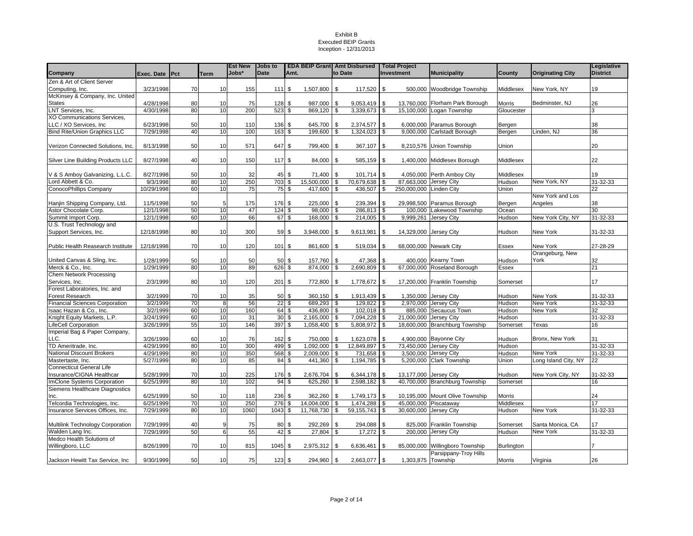|                                       |                        |                       |                | <b>Est New</b> | Jobs to     |                          | <b>EDA BEIP Grant Amt Disbursed</b> |                         |                           |      | Total Project                       |                                 |                     |                         | Legislative     |
|---------------------------------------|------------------------|-----------------------|----------------|----------------|-------------|--------------------------|-------------------------------------|-------------------------|---------------------------|------|-------------------------------------|---------------------------------|---------------------|-------------------------|-----------------|
| Company                               | Exec. Date Pct         |                       | Term           | Jobs*          | <b>Date</b> | Amt.                     |                                     | to Date                 |                           |      | <b>Investment</b>                   | <b>Municipality</b>             | County              | <b>Originating City</b> | <b>District</b> |
| Zen & Art of Client Server            |                        |                       |                |                |             |                          |                                     |                         |                           |      |                                     |                                 |                     |                         |                 |
| Computing, Inc.                       | 3/23/1998              | 70                    | 10             | 155            | 1111        | \$                       | 1,507,800 \$                        |                         | 117,520                   | \$   |                                     | 500,000 Woodbridge Township     | Middlesex           | New York, NY            | 19              |
| McKinsey & Company, Inc. United       |                        |                       |                |                |             |                          |                                     |                         |                           |      |                                     |                                 |                     |                         |                 |
| <b>States</b>                         | 4/28/1998              | 80                    | 10             | 75             | 128         | \$                       | 987,000                             | <b>S</b>                | 9,053,419                 | \$   | 13,760,000                          | Florham Park Borough            | Morris              | Bedminster, NJ          | 26              |
| LNT Services, Inc.                    | 4/30/1998              | 80                    | 10             | 200            | 523         | \$                       | 869,120                             | l \$                    | 3,339,673                 | \$   |                                     | 15,100,000 Logan Township       | Gloucester          |                         |                 |
| XO Communications Services,           |                        |                       |                |                |             |                          |                                     |                         |                           |      |                                     |                                 |                     |                         |                 |
| LLC / XO Services, Inc                | 6/23/1998              | 50                    | 10             | 110            | 136         | \$                       | 645,700                             | l \$                    | 2,374,577 \$              |      |                                     | 6,000,000 Paramus Borough       | Bergen              |                         | 38              |
| <b>Bind Rite/Union Graphics LLC</b>   | 7/29/1998              | 40                    | 10             | 100            | 163         | $\boldsymbol{\theta}$    | $199,600$ \$                        |                         | $1,324,023$ \$            |      |                                     | 9,000,000 Carlstadt Borough     | Bergen              | Linden, NJ              | 36              |
|                                       |                        |                       |                |                |             |                          |                                     |                         |                           |      |                                     |                                 |                     |                         |                 |
| Verizon Connected Solutions, Inc.     | 8/13/1998              | 50                    | 10             | 571            | 647         | \$                       | 799,400 \$                          |                         | 367,107                   | \$   |                                     | 8,210,576 Union Township        | Union               |                         | 20              |
|                                       |                        |                       |                |                |             |                          |                                     |                         |                           |      |                                     |                                 |                     |                         |                 |
| Silver Line Building Products LLC     | 8/27/1998              | 40                    | 10             | 150            | 117         | \$                       | 84,000 \$                           |                         | 585,159 \$                |      | 1,400,000                           | Middlesex Borough               | Middlesex           |                         | 22              |
|                                       |                        |                       |                |                |             |                          |                                     |                         |                           |      |                                     |                                 |                     |                         |                 |
| V & S Amboy Galvanizing, L.L.C.       | 8/27/1998              | 50                    | 10             | 32             | 45          | \$                       | 71,400 \$                           |                         | 101,714                   | \$   |                                     | 4,050,000 Perth Amboy City      | Middlesex           |                         | 19              |
| Lord Abbett & Co.                     | 9/3/1998               | 80                    | 10             | 250            | 703         | \$                       | 15,500,000                          | \$                      | 70,679,638 \$             |      | 87,663,000 Jersey City              |                                 | Hudson              | New York, NY            | $31 - 32 - 33$  |
| ConocoPhillips Company                | 10/29/1998             | 60                    | 10             | 75             | 75          | $\overline{\mathbf{3}}$  | 417,600                             | $\overline{\mathbf{s}}$ | 436,507                   | s,   | 250,000,000                         | <b>Linden City</b>              | Union               |                         | 22              |
|                                       |                        |                       |                |                |             |                          |                                     |                         |                           |      |                                     |                                 |                     | New York and Los        |                 |
| Hanjin Shipping Company, Ltd.         | 11/5/1998              | 50                    | 5              | 175            | 176         | \$                       | 225,000                             | -\$                     | 239,394                   | \$   | 29,998,500                          | Paramus Borough                 | Bergen              | Angeles                 | 38              |
| Astor Chocolate Corp.                 | 12/1/1998              | 50                    | 10             | 47             | 124         | \$                       | 98.000                              | \$                      | 286,813                   | \$   | 100.000                             | Lakewood Township               | Ocean               |                         | 30              |
| Summit Import Corp.                   | 12/1/1998              | 60                    | 10             | 66             | 67          | \$                       | 168,000                             | <b>S</b>                | 214,005 \$                |      | 9,999,261                           | Jersey City                     | Hudson              | New York City, NY       | 31-32-33        |
| U.S. Trust Technology and             |                        |                       |                |                |             |                          |                                     |                         |                           |      |                                     |                                 |                     |                         |                 |
| Support Services, Inc.                | 12/18/1998             | 80                    | 10             | 300            | 59          | \$                       | 3,948,000 \$                        |                         | 9,613,981                 | \$   | 14,329,000                          | Jersey City                     | Hudson              | New York                | 31-32-33        |
|                                       |                        |                       |                |                |             |                          |                                     |                         |                           |      |                                     |                                 |                     |                         |                 |
| Public Health Reasearch Institute     | 12/18/1998             | 70                    | 10             | 120            | 101         | \$                       | 861,600                             | - \$                    | 519,034                   | \$   | 68,000,000                          | <b>Newark City</b>              | Essex               | New York                | 27-28-29        |
|                                       |                        |                       |                |                |             |                          |                                     |                         |                           |      |                                     |                                 |                     | Orangeburg, New         |                 |
| United Canvas & Sling, Inc.           | 1/28/1999              | 50                    | 10             | 50             | 50          | \$                       | 157,760                             | -\$                     | 47,368                    | \$   | 400,000                             | <b>Kearny Town</b>              | Hudson              | York                    | 32              |
| Merck & Co., Inc.                     | 1/29/1999              | 80                    | 10             | 89             | 626         | \$                       | 874.000                             | \$                      | 2,690,809                 | -\$  | 67.000.000                          | Roseland Borough                | <b>Essex</b>        |                         | 21              |
| Chem Network Processing               |                        |                       |                |                |             |                          |                                     |                         |                           |      |                                     |                                 |                     |                         |                 |
| Services, Inc.                        | 2/3/1999               | 80                    | 10             | 120            | 201         | \$                       | 772,800                             | l \$                    | 1,778,672                 | \$   |                                     | 17,200,000 Franklin Township    | Somerset            |                         | 17              |
| Forest Laboratories, Inc. and         |                        |                       |                |                |             |                          |                                     |                         |                           |      |                                     |                                 |                     |                         |                 |
| Forest Research                       | 3/2/1999               | 70                    | 10             | 35             | 50          | $\sqrt{3}$               | 360,150 \$                          |                         | 1,913,439 \$              |      |                                     | 1,350,000 Jersey City           | Hudson              | New York                | 31-32-33        |
| <b>Financial Sciences Corporation</b> | 3/2/1999               | $\overline{70}$       | 8              | 56             | 22          | \$                       | 689,293                             | \$                      | 129,822                   | l \$ |                                     | 2,970,000 Jersey City           | Hudson              | New York                | 31-32-33        |
| Isaac Hazan & Co., Inc.               | 3/2/1999               | 60                    | 10             | 160            | 64          | $\boldsymbol{\theta}$    | $436,800$ \ \$                      |                         | $102,018$ \$              |      | 885,000                             | Secaucus Town                   | Hudson              | New York                | 32              |
| Knight Equity Markets, L.P.           | 3/24/1999              | 60                    | 10             | 31             | 30          | \$                       | $2,165,000$ \$                      |                         | 7,094,228 \$              |      | 21,000,000                          | Jersey City                     | Hudson              |                         | 31-32-33        |
| ifeCell Corporation                   | 3/26/1999              | 55                    | 10             | 146            | 397         | \$                       | 1,058,400                           | \$                      | 5,808,972 \$              |      | 18,600,000                          | <b>Branchburg Township</b>      | Somerset            | Texas                   | 16              |
| Imperial Bag & Paper Company,         |                        |                       |                |                |             |                          |                                     |                         |                           |      |                                     |                                 |                     |                         |                 |
| LLC.                                  | 3/26/1999              | 60                    | 10             | 76             | 162         | \$                       | 750,000 \$                          |                         | 1,623,078 \$              |      |                                     | 4,900,000 Bayonne City          | Hudson              | Bronx, New York         | 31              |
| TD Ameritrade, Inc.                   | 4/29/1999              | 80                    | 10             | 300            | 499         | \$                       | 1.092.000                           | <b>S</b>                | 12,849,897 \$             |      | 73,450,000                          | <b>Jersey City</b>              | Hudson              |                         | 31-32-33        |
| National Discount Brokers             | 4/29/1999              | 80                    | 10             | 350            | 568         | \$                       | 2,009,000                           | $\sqrt{3}$              | 731,658 \$                |      | 3,500,000                           | Jersey City                     | Hudson              | New York                | $31 - 32 - 33$  |
| Mastertaste, Inc.                     | 5/27/1999              | 80                    | 10             | 85             | 84          | \$                       | 441,360                             | - \$                    | 1,194,785                 | \$   | 5,200,000                           | <b>Clark Township</b>           | Union               | Long Island City, NY    | 22              |
| <b>Connecticut General Life</b>       |                        |                       |                |                |             |                          |                                     |                         |                           |      |                                     |                                 |                     |                         |                 |
| Insurance/CIGNA Healthcar             | 5/28/1999              | 70<br>80              | 10<br>10       | 225            | 176         | \$                       | 2,676,704                           | - \$                    | $6,344,178$ \$            |      | 13,177,000                          | Jersey City                     | Hudson              | New York City, NY       | 31-32-33        |
| ImClone Systems Corporation           | 6/25/1999              |                       |                | 102            | 94          | $\overline{\mathcal{S}}$ | 625,260                             | \$                      | 2,598,182                 | \$   |                                     | 40,700,000 Branchburg Township  | Somerset            |                         | 16              |
| Siemens Healthcare Diagnostics        |                        |                       |                |                |             |                          |                                     |                         |                           |      |                                     |                                 |                     |                         |                 |
| Inc.                                  | 6/25/1999<br>6/25/1999 | 50<br>$\overline{70}$ | 10<br>10       | 118<br>250     | 236<br>276  | \$<br>\$                 | 362,260 \$<br>14,004,000            | \$                      | 1,749,173 \$<br>1,474,288 | \$   | 10,195,000<br>45,000,000 Piscataway | Mount Olive Township            | Morris<br>Middlesex |                         | 24<br>17        |
| Telcordia Technologies, Inc.          |                        | 80                    | 10             | 1060           | 1043        | \$                       |                                     | $\sqrt{3}$              |                           | ا \$ |                                     |                                 |                     | New York                | $31 - 32 - 33$  |
| Insurance Services Offices, Inc.      | 7/29/1999              |                       |                |                |             |                          | 11,768,730                          |                         | 59,155,743                |      | 30,600,000 Jersey City              |                                 | Hudson              |                         |                 |
| Multilink Technology Corporation      | 7/29/1999              | 40                    | 9              | 75             | 80          | \$                       | 292,269                             | \$                      | 294,088                   | \$   |                                     | <b>Franklin Township</b>        | Somerset            | Santa Monica, CA        | 17              |
| Walden Lang Inc.                      | 7/29/1999              | 50                    | 6 <sup>1</sup> | 55             | 42          | \$                       | 27,804                              | \$                      | 17,272                    | \$   | 825,000<br>200.000                  | Jersey City                     | Hudson              | New York                | 31-32-33        |
| Medco Health Solutions of             |                        |                       |                |                |             |                          |                                     |                         |                           |      |                                     |                                 |                     |                         |                 |
| Willingboro, LLC                      | 8/26/1999              | 70                    | 10             | 815            | 1045        | \$                       | 2,975,312 \$                        |                         | 6,636,461                 | \$   |                                     | 85,000,000 Willingboro Township | <b>Burlington</b>   |                         |                 |
|                                       |                        |                       |                |                |             |                          |                                     |                         |                           |      |                                     | Parsippany-Troy Hills           |                     |                         |                 |
|                                       | 9/30/1999              | 50                    | 10             | 75             | 123S        |                          | 294,960 \$                          |                         | 2,663,077                 | \$   | 1,303,875 Township                  |                                 | <b>Morris</b>       | Virginia                | 26              |
| Jackson Hewitt Tax Service, Inc       |                        |                       |                |                |             |                          |                                     |                         |                           |      |                                     |                                 |                     |                         |                 |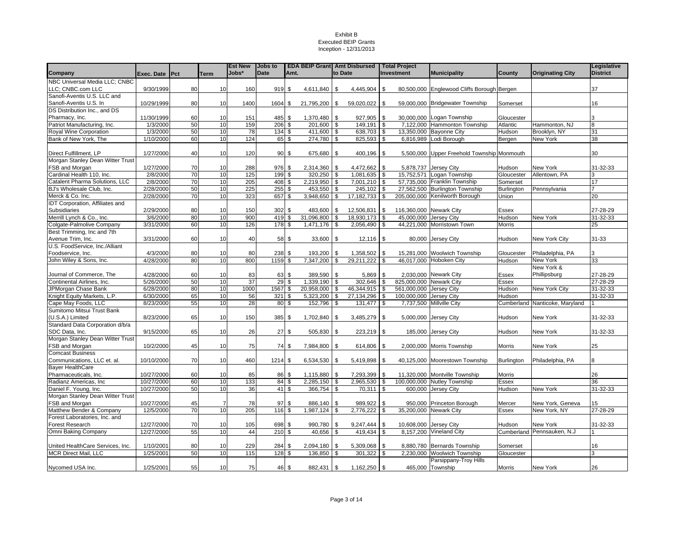|                                  |                 |    |                | <b>Est New</b> | <b>Jobs to</b> |                         | <b>EDA BEIP Grant</b> Amt Disbursed Total Project |                         |                 |            |                         |                                            |               |                                | Legislative     |
|----------------------------------|-----------------|----|----------------|----------------|----------------|-------------------------|---------------------------------------------------|-------------------------|-----------------|------------|-------------------------|--------------------------------------------|---------------|--------------------------------|-----------------|
| Company                          | Exec. Date IPct |    | Term           | Jobs*          | <b>Date</b>    | Amt.                    |                                                   | to Date                 |                 |            | Investment              | <b>Municipality</b>                        | County        | <b>Originating City</b>        | <b>District</b> |
| NBC Universal Media LLC: CNBC    |                 |    |                |                |                |                         |                                                   |                         |                 |            |                         |                                            |               |                                |                 |
| LLC: CNBC.com LLC                | 9/30/1999       | 80 | 10             | 160            | 919            | \$                      | 4,611,840                                         | \$                      | $4,445,904$ \\$ |            |                         | 80,500,000 Englewood Cliffs Borough Bergen |               |                                | 37              |
| Sanofi-Aventis U.S. LLC and      |                 |    |                |                |                |                         |                                                   |                         |                 |            |                         |                                            |               |                                |                 |
| Sanofi-Aventis U.S. In           | 10/29/1999      | 80 | 10             | 1400           | 1604           | \$                      | 21,795,200                                        | \$                      | 59,020,022 \$   |            |                         | 59,000,000 Bridgewater Township            | Somerset      |                                | 16              |
| DS Distribution Inc., and DS     |                 |    |                |                |                |                         |                                                   |                         |                 |            |                         |                                            |               |                                |                 |
| Pharmacy, Inc.                   | 11/30/1999      | 60 | 10             | 151            | 485            | \$                      | 1,370,480                                         | \$                      | 927,905 \$      |            |                         | 30,000,000 Logan Township                  | Gloucester    |                                | 3               |
| Patriot Manufacturing, Inc.      | 1/3/2000        | 50 | 10             | 159            | 206            | \$                      | 201,600                                           | \$                      | 149,191         | l \$       |                         | 7,122,000 Hammonton Township               | Atlantic      | Hammonton, NJ                  | 8               |
| Royal Wine Corporation           | 1/3/2000        | 50 | 10             | 78             | 134            | \$                      | 411,600                                           | \$                      | 638,703 \$      |            |                         | 13,350,000 Bayonne City                    | Hudson        | Brooklyn, NY                   | 31              |
| Bank of New York, The            | 1/10/2000       | 60 | 10             | 124            | 65             | \$                      | 274,780                                           | \$                      | 825,593 \$      |            |                         | 6,816,989 Lodi Borough                     | Bergen        | <b>New York</b>                | 38              |
| Direct Fulfillment, LP           | 1/27/2000       | 40 | 10             | 120            | 90             | \$                      | 675,680                                           | \$                      | 400,196 \$      |            |                         | 5.500,000 Upper Freehold Township Monmouth |               |                                | 30              |
| Morgan Stanley Dean Witter Trust |                 |    |                |                |                |                         |                                                   |                         |                 |            |                         |                                            |               |                                |                 |
| FSB and Morgan                   | 1/27/2000       | 70 | 10             | 288            | 976            | \$                      | 2,314,360                                         | \$                      | 4,472,662       | l \$       |                         | 5,878,737 Jersey City                      | Hudson        | New York                       | 31-32-33        |
| Cardinal Health 110, Inc.        | 2/8/2000        | 70 | 10             | 125            | 199            | \$                      | 320,250                                           | \$                      | 1,081,635 \$    |            | 15,752,571              | Logan Township                             | Gloucester    | Allentown, PA                  |                 |
| Catalent Pharma Solutions, LLC   | 2/8/2000        | 70 | 10             | 205            | 408            | \$                      | 2,219,950                                         | \$                      | 7,001,210 \$    |            |                         | 57,735,000 Franklin Township               | Somerset      |                                | 17              |
| BJ's Wholesale Club, Inc.        | 2/28/2000       | 50 | 10             | 225            | 255            | \$                      | 453,550                                           | \$                      | 245,102         | $\sqrt{3}$ |                         | 27,562,500 Burlington Township             | Burlington    | Pennsylvania                   |                 |
| Merck & Co. Inc.                 | 2/28/2000       | 70 | 10             | 323            | 657            | \$                      | 3,948,650                                         | \$                      | 17,182,733      | <b>S</b>   |                         | 205,000,000 Kenilworth Borough             | Union         |                                | 20              |
| IDT Corporation, Affiliates and  |                 |    |                |                |                |                         |                                                   |                         |                 |            |                         |                                            |               |                                |                 |
| Subsidiaries                     | 2/29/2000       | 80 | 10             | 150            | 302            | \$                      | 483,600                                           | \$                      | 12,506,831      | <b>S</b>   | 116,360,000 Newark City |                                            | Essex         |                                | 27-28-29        |
| Merrill Lynch & Co., Inc.        | 3/6/2000        | 80 | 10             | 900            | 419            | \$                      | 31,096,800                                        | \$                      | 18,930,173      | <b>S</b>   | 45,000,000 Jersey City  |                                            | Hudson        | New York                       | 31-32-33        |
| Colgate-Palmolive Company        | 3/31/2000       | 60 | 10             | 126            | 178            | \$                      | 1,471,176                                         | \$                      | 2,056,490       | \$         |                         | 44,221,000 Morristown Town                 | Morris        |                                | 25              |
| Best Trimming, Inc and 7th       |                 |    |                |                |                |                         |                                                   |                         |                 |            |                         |                                            |               |                                |                 |
| Avenue Trim, Inc.                | 3/31/2000       | 60 | 10             | 40             | 58             | \$                      | 33,600                                            | \$                      | $12,116$ \$     |            |                         | 80,000 Jersey City                         | Hudson        | New York City                  | 31-33           |
| U.S. FoodService, Inc./Alliant   |                 |    |                |                |                |                         |                                                   |                         |                 |            |                         |                                            |               |                                |                 |
| Foodservice, Inc.                | 4/3/2000        | 80 | 10             | 80             | 238            | \$                      | 193,200                                           | \$                      | 1,358,502       | -\$        |                         | 15,281,000 Woolwich Township               | Gloucester    | Philadelphia, PA               |                 |
| John Wiley & Sons, Inc.          | 4/28/2000       | 80 | 10             | 800            | 1159           | \$.                     | 7.347.200                                         | \$                      | 29,211,222      | -S         |                         | 46.017.000 Hoboken City                    | Hudson        | New York                       | 33              |
|                                  |                 |    |                |                |                |                         |                                                   |                         |                 |            |                         |                                            |               | New York &                     |                 |
| Journal of Commerce, The         | 4/28/2000       | 60 | 10             | 83             | 63             | \$                      | 389,590                                           | \$                      | 5,869           | l \$       |                         | 2.030.000 Newark City                      | <b>Essex</b>  | Phillipsburg                   | 27-28-29        |
| Continental Airlines, Inc.       | 5/26/2000       | 50 | 10             | 37             | 29             | s,                      | 1,339,190                                         | \$                      | 302,646         | - \$       | 825,000,000 Newark City |                                            | Essex         |                                | 27-28-29        |
| JPMorgan Chase Bank              | 6/28/2000       | 80 | 10             | 1000           | 1567           | \$                      | 20,958,000                                        | \$                      | 46,344,915      | l \$       | 561,000,000 Jersey City |                                            | Hudson        | New York City                  | $31 - 32 - 33$  |
| Knight Equity Markets, L.P.      | 6/30/2000       | 65 | 10             | 56             | 321            | \$                      | 5,323,200                                         | \$                      | 27,134,296      | <b>S</b>   | 100,000,000             | Jersey City                                | Hudson        |                                | 31-32-33        |
| Cape May Foods, LLC              | 8/23/2000       | 55 | 10             | 28             | 80             | \$                      | 152,796                                           | \$                      | 131,477         | \$         |                         | 7,737,500 Millville City                   |               | Cumberland Nanticoke, Maryland |                 |
| Sumitomo Mitsui Trust Bank       |                 |    |                |                |                |                         |                                                   |                         |                 |            |                         |                                            |               |                                |                 |
| (U.S.A.) Limited                 | 8/23/2000       | 65 | 10             | 150            | 385            | \$                      | 1,702,840                                         | \$                      | 3,485,279 \$    |            |                         | 5,000,000 Jersey City                      | Hudson        | New York                       | 31-32-33        |
| Standard Data Corporation d/b/a  |                 |    |                |                |                |                         |                                                   |                         |                 |            |                         |                                            |               |                                |                 |
| SDC Data, Inc.                   | 9/15/2000       | 65 | 10             | 26             | 27             | \$                      | 505,830                                           | \$                      | 223,219 \$      |            |                         | 185,000 Jersey City                        | Hudson        | <b>New York</b>                | 31-32-33        |
| Morgan Stanley Dean Witter Trust |                 |    |                |                |                |                         |                                                   |                         |                 |            |                         |                                            |               |                                |                 |
| FSB and Morgan                   | 10/2/2000       | 45 | 10             | 75             | 74             | \$                      | 7,984,800                                         | \$                      | 614,806         | l \$       |                         | 2,000,000 Morris Township                  | Morris        | <b>New York</b>                | 25              |
| <b>Comcast Business</b>          |                 |    |                |                |                |                         |                                                   |                         |                 |            |                         |                                            |               |                                |                 |
| Communications, LLC et. al.      | 10/10/2000      | 70 | 10             | 460            | 1214           | \$                      | 6,534,530                                         | \$                      | 5,419,898 \$    |            |                         | 40,125,000 Moorestown Township             | Burlington    | Philadelphia, PA               | 8               |
| <b>Bayer HealthCare</b>          |                 |    |                |                |                |                         |                                                   |                         |                 |            |                         |                                            |               |                                |                 |
| Pharmaceuticals, Inc.            | 10/27/2000      | 60 | 10             | 85             | 86             | \$                      | 1,115,880                                         | \$                      | 7,293,399 \$    |            |                         | 11,320,000 Montville Township              | <b>Morris</b> |                                | 26              |
| Radianz Americas, Inc            | 10/27/2000      | 60 | 10             | 133            | 84             | \$                      | 2,285,150                                         | \$                      | 2,965,530       | \$         |                         | 100,000,000 Nutley Township                | Essex         |                                | 36              |
| Daniel F. Young, Inc.            | 10/27/2000      | 50 | 10             | 36             | 41             | \$                      | 366,754                                           | \$                      | 70,311          | \$         | 600.000                 | <b>Jersey City</b>                         | Hudson        | <b>New York</b>                | 31-32-33        |
| Morgan Stanley Dean Witter Trust |                 |    |                |                |                |                         |                                                   |                         |                 |            |                         |                                            |               |                                |                 |
| FSB and Morgan                   | 10/27/2000      | 45 | $\overline{7}$ | 78             | 97             | \$                      | 886,140                                           | \$                      | 989,922         | -\$        |                         | 950,000 Princeton Borough                  | Mercer        | New York, Geneva               | 15              |
| Matthew Bender & Company         | 12/5/2000       | 70 | 10             | 205            | 116            | $\overline{\mathbf{s}}$ | 1,987,124                                         | $\overline{\mathbf{s}}$ | 2,776,222       | \$         | 35,200,000 Newark City  |                                            | <b>Essex</b>  | New York, NY                   | 27-28-29        |
| Forest Laboratories, Inc. and    |                 |    |                |                |                |                         |                                                   |                         |                 |            |                         |                                            |               |                                |                 |
| Forest Research                  | 12/27/2000      | 70 | 10             | 105            | 698            | \$                      | 990,780                                           | \$                      | 9,247,444       | <b>S</b>   | 10,608,000 Jersey City  |                                            | Hudson        | New York                       | 31-32-33        |
| Omni Baking Company              | 12/27/2000      | 55 | 10             | 44             | 210            | \$                      | 40,656                                            | \$                      | 419,434         | \$         |                         | 8,157,200 Vineland City                    |               | Cumberland Pennsauken, N.J     |                 |
|                                  |                 |    |                |                |                |                         |                                                   |                         |                 |            |                         |                                            |               |                                |                 |
| United HealthCare Services, Inc. | 1/10/2001       | 80 | 10             | 229            | 284            | \$                      | 2,094,180                                         | \$                      | 5,309,068       | l \$       |                         | 8,880,780 Bernards Township                | Somerset      |                                | 16              |
| <b>MCR Direct Mail, LLC</b>      | 1/25/2001       | 50 | 10             | 115            | 128            | \$                      | 136,850                                           | \$                      | 301,322         | ∣\$.       |                         | 2.230.000 Woolwich Township                | Gloucester    |                                | 3               |
|                                  |                 |    |                |                |                |                         |                                                   |                         |                 |            |                         | Parsippany-Troy Hills                      |               |                                |                 |
| Nycomed USA Inc.                 | 1/25/2001       | 55 | 10             | 75             | 46 \$          |                         | 882,431                                           | \$                      | $1,162,250$ \$  |            |                         | 465,000 Township                           | Morris        | New York                       | 26              |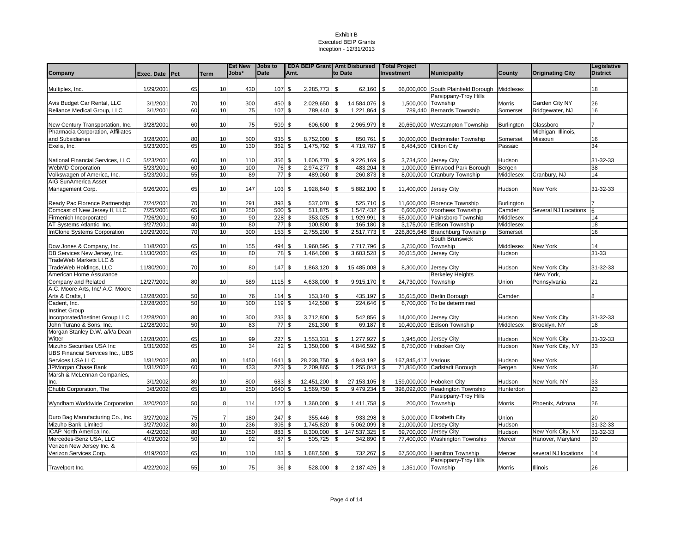|                                                            |                      |          |                 | <b>Est New</b> | <b>Jobs to</b>  |                 |                           |          | <b>EDA BEIP Grant Amt Disbursed</b> |          | Total Project                 |                                               |                    |                                   | Legislative     |
|------------------------------------------------------------|----------------------|----------|-----------------|----------------|-----------------|-----------------|---------------------------|----------|-------------------------------------|----------|-------------------------------|-----------------------------------------------|--------------------|-----------------------------------|-----------------|
| Company                                                    | Exec. Date Pct       |          | Term            | Jobs*          | <b>Date</b>     | Amt.            |                           |          | to Date                             |          | <b>Investment</b>             | <b>Municipality</b>                           | County             | <b>Originating City</b>           | <b>District</b> |
|                                                            |                      |          |                 |                |                 |                 |                           |          |                                     |          |                               |                                               |                    |                                   |                 |
| Multiplex, Inc.                                            | 1/29/2001            | 65       | 10              | 430            | 107             | \$              | $2,285,773$ \$            |          | $62,160$ \$                         |          |                               | 66,000,000 South Plainfield Borough Middlesex |                    |                                   | 18              |
|                                                            |                      |          |                 |                |                 |                 |                           |          |                                     |          |                               | Parsippany-Troy Hills                         |                    |                                   |                 |
| Avis Budget Car Rental, LLC<br>Reliance Medical Group, LLC | 3/1/2001<br>3/1/2001 | 70<br>60 | 10<br>10        | 300<br>75      | 450<br>107      | \$<br>\$        | $2,029,650$ \$<br>789,440 | \$       | 14,584,076<br>1,221,864             | \$<br>\$ | 1,500,000 Township<br>789,440 | <b>Bernards Township</b>                      | Morris<br>Somerset | Garden City NY<br>Bridgewater, NJ | 26<br>16        |
|                                                            |                      |          |                 |                |                 |                 |                           |          |                                     |          |                               |                                               |                    |                                   |                 |
| New Century Transportation, Inc.                           | 3/28/2001            | 60       | 10              | 75             | 509             | \$              | 606,600 \$                |          | 2,965,979                           | \$       |                               | 20,650,000 Westampton Township                | Burlington         | Glassboro                         |                 |
| Pharmacia Corporation, Affiliates                          |                      |          |                 |                |                 |                 |                           |          |                                     |          |                               |                                               |                    | Michigan, Illinois,               |                 |
| and Subsidiaries                                           | 3/28/2001            | 80       | 10              | 500            | 935             | \$              | 8,752,000 \$              |          | 850,761                             | \$       | 30,000,000                    | <b>Bedminster Township</b>                    | Somerset           | Missouri                          | 16              |
| Exelis, Inc.                                               | 5/23/2001            | 65       | 10              | 130            | 362             | \$              | 1,475,792                 | \$       | 4,719,787                           | l \$     | 8,484,500                     | <b>Clifton City</b>                           | Passaic            |                                   | 34              |
|                                                            |                      |          |                 |                |                 |                 |                           |          |                                     |          |                               |                                               |                    |                                   |                 |
| National Financial Services, LLC                           | 5/23/2001            | 60       | 10              | 110            | 356             | \$              | 1,606,770                 | l \$     | 9,226,169                           | l \$     |                               | 3,734,500 Jersey City                         | Hudson             |                                   | 31-32-33        |
| <b>WebMD Corporation</b>                                   | 5/23/2001            | 60       | 10              | 100            | 76              | \$              | 2,974,277                 | - \$     | 483,204 \$                          |          |                               | 1,000,000 Elmwood Park Borough                | Bergen             |                                   | 38              |
| Volkswagen of America, Inc.                                | 5/23/2001            | 55       | 10              | 89             |                 | 77 \$           | 489,060 \$                |          | 260,873 \$                          |          |                               | 8,000,000 Cranbury Township                   | Middlesex          | Cranbury, NJ                      | 14              |
| <b>AIG SunAmerica Asset</b>                                | 6/26/2001            | 65       | 10              | 147            | 103             | \$              | 1,928,640 \$              |          | 5,882,100 \$                        |          |                               |                                               |                    |                                   | 31-32-33        |
| Management Corp.                                           |                      |          |                 |                |                 |                 |                           |          |                                     |          | 11,400,000 Jersey City        |                                               | Hudson             | New York                          |                 |
| Ready Pac Florence Partnership                             | 7/24/2001            | 70       | 10              | 291            | 393             | \$              | 537,070                   | l \$     | $525,710$ \$                        |          | 11,600,000                    | Florence Township                             | Burlington         |                                   |                 |
| Comcast of New Jersey II, LLC                              | 7/25/2001            | 65       | 10              | 250            | 500             | $\sqrt{3}$      | $511,875$ \$              |          | 1,547,432 \$                        |          |                               | 6,600,000 Voorhees Township                   | Camden             | Several NJ Locations              |                 |
| Firmenich Incorporated                                     | 7/26/2001            | 50       | 10              | 90             | 228S            |                 | 353,025                   | <b>S</b> | 1,929,991 \$                        |          |                               | 65,000,000 Plainsboro Township                | Middlesex          |                                   | 14              |
| AT Systems Atlantic, Inc.                                  | 9/27/2001            | 40       | 10              | 80             | $\overline{77}$ | \$              | 100,800                   | \$       | 165,180                             | <b>S</b> | 3,175,000                     | Edison Township                               | Middlesex          |                                   | 18              |
| ImClone Systems Corporation                                | 10/29/2001           | 70       | 10              | 300            | 153             | \$              | 2,755,200 \$              |          | 2,517,773 \$                        |          |                               | 226,805,648 Branchburg Township               | Somerset           |                                   | 16              |
|                                                            |                      |          |                 |                |                 |                 |                           |          |                                     |          |                               | South Brunswick                               |                    |                                   |                 |
| Dow Jones & Company, Inc.                                  | 11/8/2001            | 65       | 10              | 155            | 494             | \$              | 1,960,595                 | <b>S</b> | 7,717,796                           | \$       | 3,750,000 Township            |                                               | Middlesex          | New York                          | 14              |
| DB Services New Jersey, Inc.                               | 11/30/2001           | 65       | 10              | 80             | 78              | \$              | 1,464,000                 | \$       | 3,603,528                           | \$       | 20,015,000                    | <b>Jersey City</b>                            | Hudson             |                                   | 31-33           |
| TradeWeb Markets LLC &                                     |                      |          |                 |                |                 |                 |                           |          |                                     |          |                               |                                               |                    |                                   |                 |
| TradeWeb Holdings, LLC                                     | 11/30/2001           | 70       | 10              | 80             | 147             | \$              | 1,863,120 \$              |          | 15,485,008                          | -\$      |                               | 8,300,000 Jersey City                         | Hudson             | New York City                     | 31-32-33        |
| American Home Assurance                                    |                      |          |                 |                |                 |                 |                           |          |                                     |          |                               | <b>Berkeley Heights</b>                       |                    | New York,                         |                 |
| Company and Related                                        | 12/27/2001           | 80       | 10              | 589            | 1115S           |                 | 4,638,000 \$              |          | 9,915,170 \$                        |          | 24,730,000 Township           |                                               | Union              | Pennsylvania                      | 21              |
| A.C. Moore Arts, Inc/ A.C. Moore<br>Arts & Crafts, I       | 12/28/2001           | 50       | 10              | 76             | 114             | \$              | 153,140 \$                |          | 435,197                             | <b>S</b> |                               | 35,615,000 Berlin Borough                     | Camden             |                                   | 8               |
| Cadent, Inc.                                               | 12/28/2001           | 50       | 10              | 100            | 119             | \$              | 142,500 \$                |          | 224,646                             | \$       |                               | 6,700,000 To be determined                    |                    |                                   |                 |
| <b>Instinet Group</b>                                      |                      |          |                 |                |                 |                 |                           |          |                                     |          |                               |                                               |                    |                                   |                 |
| Incorporated/Instinet Group LLC                            | 12/28/2001           | 80       | 10              | 300            | 233             | \$              | $3,712,800$ \$            |          | 542,856 \$                          |          | 14,000,000 Jersey City        |                                               | Hudson             | New York City                     | 31-32-33        |
| John Turano & Sons, Inc.                                   | 12/28/2001           | 50       | 10              | 83             | $\overline{77}$ | \$              | 261,300                   | <b>S</b> | 69,187 \$                           |          |                               | 10,400,000 Edison Township                    | Middlesex          | Brooklyn, NY                      | 18              |
| Morgan Stanley D.W. a/k/a Dean                             |                      |          |                 |                |                 |                 |                           |          |                                     |          |                               |                                               |                    |                                   |                 |
| Witter                                                     | 12/28/2001           | 65       | 10              | 99             | 227             | \$              | 1,553,331                 | \$       | 1,277,927                           | \$       |                               | 1,945,000 Jersey City                         | Hudson             | New York City                     | 31-32-33        |
| Mizuho Securities USA Inc                                  | 1/31/2002            | 65       | 10              | 34             | 22              | \$              | 1,350,000                 | - \$     | 4,846,592                           | - \$     | 8,750,000                     | Hoboken City                                  | Hudson             | New York City, NY                 | 33              |
| <b>UBS Financial Services Inc., UBS</b>                    |                      |          |                 |                |                 |                 |                           |          |                                     |          |                               |                                               |                    |                                   |                 |
| Services USA LLC                                           | 1/31/2002            | 80       | 10              | 1450           | 1641            | \$              | 28,238,750                | l \$     | 4,843,192                           | \$       | 167.845.417                   | Various                                       | Hudson             | New York                          |                 |
| JPMorgan Chase Bank                                        | 1/31/2002            | 60       | 10              | 433            | 273             | \$              | 2,209,865                 | - \$     | $1,255,043$ \$                      |          | 71,850,000                    | Carlstadt Borough                             | Bergen             | New York                          | 36              |
| Marsh & McLennan Companies,                                |                      |          |                 |                |                 |                 |                           |          |                                     |          |                               |                                               |                    |                                   |                 |
| Inc.                                                       | 3/1/2002             | 80       | 10              | 800            | 683             | \$              | 12,451,200 \$             |          | 27, 153, 105 \$                     |          | 159,000,000                   | <b>Hoboken City</b>                           | Hudson             | New York, NY                      | 33              |
| Chubb Corporation, The                                     | 3/8/2002             | 65       | 10              | 250            | 1640            | \$              | 1,569,750                 | \$       | 9,479,234                           | \$       | 398,092,000                   | <b>Readington Township</b>                    | Hunterdon          |                                   | 23              |
| Wyndham Worldwide Corporation                              | 3/20/2002            | 50       | 8               | 114            | 127             | \$              | 1,360,000 \$              |          | $1,411,758$ \$                      |          |                               | Parsippany-Troy Hills<br>200,000 Township     | <b>Morris</b>      | Phoenix, Arizona                  | 26              |
|                                                            |                      |          |                 |                |                 |                 |                           |          |                                     |          |                               |                                               |                    |                                   |                 |
| Duro Bag Manufacturing Co., Inc.                           | 3/27/2002            | 75       | 7               | 180            | 247             | \$              | 355,446                   | <b>S</b> | 933,298 \$                          |          |                               | 3,000,000 Elizabeth City                      | Union              |                                   | 20              |
| Mizuho Bank, Limited                                       | 3/27/2002            | 80       | 10              | 236            | 305             | s,              | 1,745,820                 | \$       | $5,062,099$ \$                      |          | 21,000,000 Jersey City        |                                               | Hudson             |                                   | 31-32-33        |
| ICAP North America Inc.                                    | 4/2/2002             | 80       | 10              | 250            | 883             | \$              | 8,300,000 \$              |          | 147,537,325 \$                      |          | 69,700,000 Jersey City        |                                               | Hudson             | New York City, NY                 | 31-32-33        |
| Mercedes-Benz USA, LLC                                     | 4/19/2002            | 50       | 10 <sup>1</sup> | 92             | 87              | \$              | 505,725                   | <b>S</b> | 342,890 \$                          |          |                               | 77,400,000 Washington Township                | Mercer             | Hanover, Maryland                 | 30              |
| Verizon New Jersey Inc. &                                  |                      |          |                 |                |                 |                 |                           |          |                                     |          |                               |                                               |                    |                                   |                 |
| Verizon Services Corp.                                     | 4/19/2002            | 65       | 10              | 110            | 183             | \$              | 1,687,500 \$              |          | 732,267 \$                          |          | 67,500,000                    | <b>Hamilton Township</b>                      | Mercer             | several NJ locations              | 14              |
|                                                            |                      |          |                 |                |                 |                 |                           |          |                                     |          |                               | Parsippany-Troy Hills                         |                    |                                   |                 |
| Travelport Inc.                                            | 4/22/2002            | 55       | 10              | 75             |                 | $36\frac{ }{ }$ | 528,000 \$                |          | 2,187,426 \$                        |          | 1,351,000 Township            |                                               | Morris             | Illinois                          | 26              |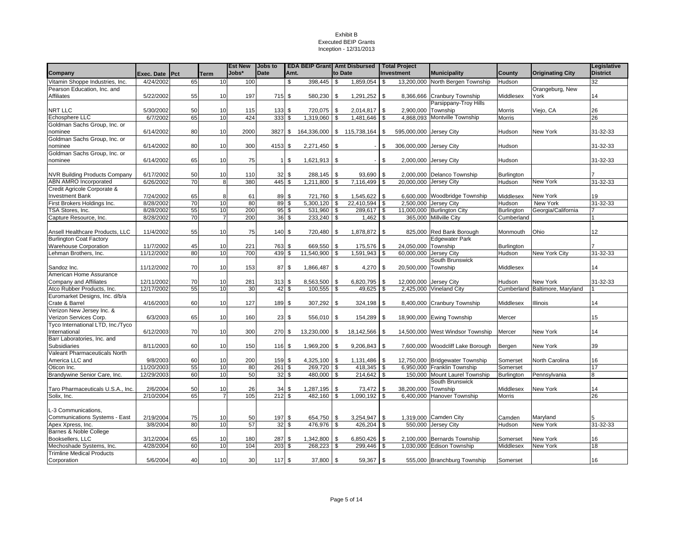|                                      |                |    |                | <b>Est New</b> | <b>Jobs to</b> |                  |                        |      | <b>EDA BEIP Grant Amt Disbursed   Total Project</b> |            |                         |                                  |                   |                                | Legislative     |
|--------------------------------------|----------------|----|----------------|----------------|----------------|------------------|------------------------|------|-----------------------------------------------------|------------|-------------------------|----------------------------------|-------------------|--------------------------------|-----------------|
| Company                              | Exec. Date Pct |    | Term           | Jobs*          | <b>Date</b>    | Amt.             |                        |      | to Date                                             |            | Investment              | <b>Municipality</b>              | County            | <b>Originating City</b>        | <b>District</b> |
| Vitamin Shoppe Industries, Inc.      | 4/24/2002      | 65 | 10             | 100            |                | \$               | 398,445                | \$   | 1,859,054                                           | $\sqrt{3}$ |                         | 13,200,000 North Bergen Township | Hudson            |                                | 32              |
| Pearson Education, Inc. and          |                |    |                |                |                |                  |                        |      |                                                     |            |                         |                                  |                   | Orangeburg, New                |                 |
| Affiliates                           | 5/22/2002      | 55 | 10             | 197            | 715 \$         |                  | 580,230 \$             |      | 1,291,252 \$                                        |            |                         | 8,366,666 Cranbury Township      | Middlesex         | York                           | 14              |
|                                      |                |    |                |                |                |                  |                        |      |                                                     |            |                         | Parsippany-Troy Hills            |                   |                                |                 |
| NRT LLC                              | 5/30/2002      | 50 | 10             | 115            | 133            | \$               | 720,075                | \$   | 2,014,817 \$                                        |            | 2,900,000 Township      |                                  | Morris            | Viejo, CA                      | 26              |
| Echosphere LLC                       | 6/7/2002       | 65 | 10             | 424            | 333            | \$               | 1,319,060              | \$   | 1,481,646                                           | \$         |                         | 4.868.093 Montville Township     | <b>Morris</b>     |                                | 26              |
| Goldman Sachs Group, Inc. or         |                |    |                |                |                |                  |                        |      |                                                     |            |                         |                                  |                   |                                |                 |
| nominee                              | 6/14/2002      | 80 | 10             | 2000           |                |                  |                        |      | 3827 \$ 164,336,000 \$ 115,738,164                  | \$         | 595,000,000 Jersey City |                                  | Hudson            | New York                       | 31-32-33        |
| Goldman Sachs Group, Inc. or         |                |    |                |                |                |                  |                        |      |                                                     |            |                         |                                  |                   |                                |                 |
| าominee                              | 6/14/2002      | 80 | 10             | 300            | 4153 \$        |                  | 2,271,450 \$           |      |                                                     | \$         | 306,000,000 Jersey City |                                  | Hudson            |                                | 31-32-33        |
| Goldman Sachs Group, Inc. or         |                |    |                |                |                |                  |                        |      |                                                     |            |                         |                                  |                   |                                |                 |
| nominee                              | 6/14/2002      | 65 | 10             | 75             | 11             | \$               | $1,621,913$ \$         |      |                                                     | \$         |                         | 2,000,000 Jersey City            | Hudson            |                                | 31-32-33        |
|                                      |                |    |                |                |                |                  |                        |      |                                                     |            |                         |                                  |                   |                                |                 |
| <b>NVR Building Products Company</b> | 6/17/2002      | 50 | 10             | 110            |                | $32 \text{ }$ \$ | 288,145 \$             |      | 93,690                                              | \$         |                         | 2,000,000 Delanco Township       | Burlington        |                                |                 |
| ABN AMRO Incorporated                | 6/26/2002      | 70 | 8              | 380            | 445            | \$               | 1,211,800              | \$   | 7,116,499                                           | \$         | 20,000,000 Jersey City  |                                  | Hudson            | New York                       | 31-32-33        |
| Credit Agricole Corporate &          |                |    |                |                |                |                  |                        |      |                                                     |            |                         |                                  |                   |                                |                 |
| <b>Investment Bank</b>               | 7/24/2002      | 65 | 8              | 61             |                | 89 \$            | 721,760 \$             |      | 1,545,622                                           | \$         |                         | 6,600,000 Woodbridge Township    | Middlesex         | New York                       | 19              |
| First Brokers Holdings Inc.          | 8/28/2002      | 70 | 10             | 80             | 89             | \$               | $\overline{5,300,120}$ | \$   | 22,410,594                                          | \$         |                         | 2,500,000 Jersey City            | Hudson            | New York                       | 31-32-33        |
| TSA Stores, Inc.                     | 8/28/2002      | 55 | 10             | 200            | 95             | \$               | 531,960                | \$   | 289,617                                             | \$         |                         | 11,000,000 Burlington City       | <b>Burlington</b> | Georgia/California             |                 |
| Capture Resource, Inc.               | 8/28/2002      | 70 | $\overline{7}$ | 200            |                | 36S              | 233,240                | \$   | 1,462                                               | \$         |                         | 365,000 Millville City           | Cumberland        |                                |                 |
|                                      |                |    |                |                |                |                  |                        |      |                                                     |            |                         |                                  |                   |                                |                 |
| Ansell Healthcare Products, LLC      | 11/4/2002      | 55 | 10             | 75             | 140 \$         |                  | 720,480 \$             |      | 1,878,872 \$                                        |            |                         | 825,000 Red Bank Borough         | Monmouth          | Ohio                           | 12              |
| <b>Burlington Coat Factory</b>       |                |    |                |                |                |                  |                        |      |                                                     |            |                         | <b>Edgewater Park</b>            |                   |                                |                 |
| <b>Warehouse Corporation</b>         | 11/7/2002      | 45 | 10             | 221            | 763 \$         |                  | 669,550 \$             |      | 175,576                                             | \$         | 24,050,000 Township     |                                  | Burlington        |                                |                 |
| Lehman Brothers, Inc.                | 11/12/2002     | 80 | 10             | 700            | 439            | \$               | 11,540,900             | \$   | 1,591,943                                           | \$         | 60,000,000 Jersey City  |                                  | Hudson            | New York City                  | 31-32-33        |
|                                      |                |    |                |                |                |                  |                        |      |                                                     |            |                         | South Brunswick                  |                   |                                |                 |
| Sandoz Inc.                          | 11/12/2002     | 70 | 10             | 153            |                | 87 \$            | 1,866,487 \$           |      | 4,270                                               | \$         | 20,500,000 Township     |                                  | Middlesex         |                                | 14              |
| American Home Assurance              |                |    |                |                |                |                  |                        |      |                                                     |            |                         |                                  |                   |                                |                 |
| Company and Affiliates               | 12/11/2002     | 70 | 10             | 281            | 313S           |                  | 8,563,500              | \$   | 6,820,795                                           | \$         | 12,000,000 Jersey City  |                                  | Hudson            | New York                       | 31-32-33        |
| Atco Rubber Products, Inc.           | 12/17/2002     | 55 | 10             | 30             | 42             | \$               | 100,555                | \$   | 49,625                                              | \$         |                         | 2,425,000 Vineland City          |                   | Cumberland Baltimore, Maryland |                 |
| Euromarket Designs, Inc. d/b/a       |                |    |                |                |                |                  |                        |      |                                                     |            |                         |                                  |                   |                                |                 |
| Crate & Barrel                       | 4/16/2003      | 60 | 10             | 127            | 189 \$         |                  | 307,292 \$             |      | 324,198 \$                                          |            |                         | 8,400,000 Cranbury Township      | Middlesex         | Illinois                       | 14              |
| Verizon New Jersey Inc. &            |                |    |                |                |                |                  |                        |      |                                                     |            |                         |                                  |                   |                                |                 |
| Verizon Services Corp.               | 6/3/2003       | 65 | 10             | 160            |                | $23 \text{ } $$  | $556,010$ \$           |      | 154,289 \$                                          |            |                         | 18,900,000 Ewing Township        | Mercer            |                                | 15              |
| Tyco International LTD, Inc./Tyco    |                |    |                |                |                |                  |                        |      |                                                     |            |                         |                                  |                   |                                |                 |
| International                        | 6/12/2003      | 70 | 10             | 300            | 270 \$         |                  | 13,230,000 \$          |      | 18,142,566 \$                                       |            |                         | 14,500,000 West Windsor Township | Mercer            | New York                       | 14              |
| Barr Laboratories, Inc. and          |                |    |                |                |                |                  |                        |      |                                                     |            |                         |                                  |                   |                                |                 |
| Subsidiaries                         | 8/11/2003      | 60 | 10             | 150            | 116 \$         |                  | 1,969,200 \$           |      | $9,206,843$ \$                                      |            |                         | 7,600,000 Woodcliff Lake Borough | Bergen            | New York                       | 39              |
| Valeant Pharmaceuticals North        |                |    |                |                |                |                  |                        |      |                                                     |            |                         |                                  |                   |                                |                 |
| America LLC and                      | 9/8/2003       | 60 | 10             | 200            | 159 \$         |                  | $4,325,100$ \$         |      | $1,131,486$ \$                                      |            |                         | 12,750,000 Bridgewater Township  | Somerset          | North Carolina                 | 16              |
| Oticon Inc.                          | 11/20/2003     | 55 | 10             | 80             | 261            | \$               | 269,720                | \$   | 418,345                                             | \$         |                         | 6,950,000 Franklin Township      | Somerset          |                                | 17              |
| Brandywine Senior Care, Inc.         | 12/29/2003     | 60 | 10             | 50             |                | 32S              | 480,000                | \$   | 214,642                                             | \$         |                         | 150,000 Mount Laurel Township    | Burlington        | Pennsylvania                   | 8               |
|                                      |                |    |                |                |                |                  |                        |      |                                                     |            |                         | South Brunswick                  |                   |                                |                 |
| Taro Pharmaceuticals U.S.A., Inc.    | 2/6/2004       | 50 | 10             | 26             | 34             | \$               | 1,287,195              | \$   | 73,472                                              | \$         | 38,200,000              | Township                         | Middlesex         | New York                       | 14              |
| Solix, Inc.                          | 2/10/2004      | 65 | $\overline{7}$ | 105            | 212            | \$               | 482,160                | \$   | 1,090,192                                           | \$         |                         | 6,400,000 Hanover Township       | Morris            |                                | 26              |
|                                      |                |    |                |                |                |                  |                        |      |                                                     |            |                         |                                  |                   |                                |                 |
| L-3 Communications,                  |                |    |                |                |                |                  |                        |      |                                                     |            |                         |                                  |                   |                                |                 |
| <b>Communications Systems - East</b> | 2/19/2004      | 75 | 10             | 50             | 197 \$         |                  | 654,750                | - \$ | 3,254,947                                           | <b>\$</b>  |                         | 1,319,000 Camden City            | Camden            | Maryland                       |                 |
| Apex Xpress, Inc.                    | 3/8/2004       | 80 | 10             | 57             | 32             | \$               | 476,976                | \$   | 426,204                                             | \$         |                         | 550,000 Jersey City              | Hudson            | <b>New York</b>                | 31-32-33        |
| Barnes & Noble College               |                |    |                |                |                |                  |                        |      |                                                     |            |                         |                                  |                   |                                |                 |
| Booksellers, LLC                     | 3/12/2004      | 65 | 10             | 180            | 287 \$         |                  | 1,342,800 \$           |      | 6,850,426                                           | \$         |                         | 2,100,000 Bernards Township      | Somerset          | New York                       | 16              |
| Mechoshade Systems, Inc.             | 4/28/2004      | 60 | 10             | 104            | 203            | \$               | 268,223                | \$   | 299,446                                             | \$         |                         | 1,030,000 Edison Township        | Middlesex         | <b>New York</b>                | 18              |
| <b>Trimline Medical Products</b>     |                |    |                |                |                |                  |                        |      |                                                     |            |                         |                                  |                   |                                |                 |
| Corporation                          | 5/6/2004       | 40 | 10             | 30             | 117S           |                  | $37,800$ \$            |      | 59,367 \$                                           |            |                         | 555,000 Branchburg Township      | Somerset          |                                | 16              |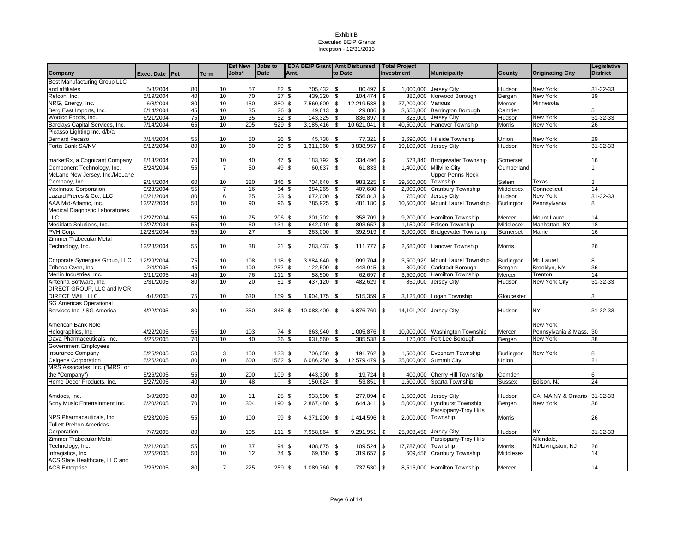|                                     |                |    |                | <b>Est New</b> | <b>Jobs to</b>           |      |            |                    |               | <b>EDA BEIP Grant</b> Amt Disbursed Total Project |                                 |                   |                               | Legislative     |
|-------------------------------------|----------------|----|----------------|----------------|--------------------------|------|------------|--------------------|---------------|---------------------------------------------------|---------------------------------|-------------------|-------------------------------|-----------------|
| Company                             | Exec. Date Pct |    | <b>Term</b>    | Jobs*          | <b>Date</b>              | Amt. |            | to Date            |               | Investment                                        | <b>Municipality</b>             | County            | <b>Originating City</b>       | <b>District</b> |
| <b>Best Manufacturing Group LLC</b> |                |    |                |                |                          |      |            |                    |               |                                                   |                                 |                   |                               |                 |
| and affiliates                      | 5/8/2004       | 80 | 10             | 57             | 82                       | \$   | 705,432    | \$                 | 80.497        | <b>S</b>                                          | 1,000,000 Jersey City           | Hudson            | <b>New York</b>               | 31-32-33        |
| Refcon, Inc.                        | 5/19/2004      | 40 | 10             | 70             | 37S                      |      | 439,320    | \$                 | 104,474 \$    |                                                   | 380.000 Norwood Borough         | Bergen            | New York                      | 39              |
| NRG, Energy, Inc.                   | 6/8/2004       | 80 | 10             | 150            | 380 \$                   |      | 7,560,600  | \$                 | 12,219,588    | 37,200,000 Various<br>l \$                        |                                 | Mercer            | Minnesota                     |                 |
| Berg East Imports, Inc.             | 6/14/2004      | 45 | 10             | 35             | 26                       | \$   | 49,613     | \$                 | 29,886        | 3,650,000<br>l \$                                 | Barrington Borough              | Camden            |                               |                 |
| Woolco Foods, Inc.                  | 6/21/2004      | 75 | 10             | 35             | $52$ \$                  |      | 143,325    | \$                 | 836,897       | 825,000<br><b>S</b>                               | Jersey City                     | Hudson            | <b>New York</b>               | 31-32-33        |
| Barclays Capital Services, Inc.     | 7/14/2004      | 65 | 10             | 205            | 529                      | \$   | 3,185,416  | \$                 | 10,621,041    | <b>S</b>                                          | 40,500,000 Hanover Township     | Morris            | <b>New York</b>               | 26              |
| Picasso Lighting Inc. d/b/a         |                |    |                |                |                          |      |            |                    |               |                                                   |                                 |                   |                               |                 |
| <b>Bernard Pecaso</b>               | 7/14/2004      | 55 | 10             | 50             | 26S                      |      | 45,738     | \$                 | 77,321        | \$                                                | 3,690,000 Hillside Township     | Union             | New York                      | 29              |
| Fortis Bank SA/NV                   | 8/12/2004      | 80 | 10             | 60             | 99                       | \$   | 1,311,360  | \$                 | 3,838,957     | $\sqrt{3}$                                        | 19,100,000 Jersey City          | Hudson            | New York                      | 31-32-33        |
|                                     |                |    |                |                |                          |      |            |                    |               |                                                   |                                 |                   |                               |                 |
| marketRx, a Cognizant Company       | 8/13/2004      | 70 | 10             | 40             | 47 \$                    |      | 183,792    | \$                 | 334,496       | \$                                                | 573,840 Bridgewater Township    | Somerset          |                               | 16              |
| Component Technology, Inc.          | 8/24/2004      | 55 | $\overline{7}$ | 50             | 49 \$                    |      | 60,637     | \$                 | $61,833$ \$   |                                                   | 1,400,000 Millville City        | Cumberland        |                               |                 |
| McLane New Jersey, Inc./McLane      |                |    |                |                |                          |      |            |                    |               |                                                   | Upper Penns Neck                |                   |                               |                 |
| Company, Inc.                       | 9/14/2004      | 60 | 10             | 320            | 346                      | \$   | 704,640    | \$                 | 983,225       | 29.500.000<br>\$                                  | Township                        | Salem             | Texas                         |                 |
| VaxInnate Corporation               | 9/23/2004      | 55 | 7              | 16             | 54S                      |      | 384,265    | \$                 | 407,680       | 2,000,000<br>l \$                                 | <b>Cranbury Township</b>        | Middlesex         | Connecticut                   | 14              |
| azard Freres & Co., LLC             | 10/21/2004     | 80 | 6              | 25             | $23$ \$                  |      | 672,000    | $\mathbf{s}$       | $556,043$ \$  | 750,000                                           | Jersey City                     | Hudson            | New York                      | 31-32-33        |
| AAA Mid-Atlantic, Inc.              | 12/27/2004     | 50 | 10             | 90             | 96                       | \$   | 785,925    | \$                 | 481,180       | 10,500,000<br>l \$                                | Mount Laurel Township           | Burlington        | Pennsylvania                  | 8               |
| Medical Diagnostic Laboratories,    |                |    |                |                |                          |      |            |                    |               |                                                   |                                 |                   |                               |                 |
| <b>LLC</b>                          | 12/27/2004     | 55 | 10             | 75             | 206 \$                   |      | 201,702    | \$                 | 358,709       | <b>S</b>                                          | 9,200,000 Hamilton Township     | Mercer            | <b>Mount Laurel</b>           | 14              |
| Medidata Solutions, Inc.            | 12/27/2004     | 55 | 10             | 60             | 131S                     |      | 642,010    | $\mathbf{\hat{s}}$ | 893,652       | 1,150,000<br>$\sqrt{3}$                           | <b>Edison Township</b>          | Middlesex         | Manhattan, NY                 | 18              |
| PVH Corp.                           | 12/28/2004     | 55 | 10             | 27             |                          | \$   | 263,000    | \$                 | $392,919$ \$  |                                                   | 3,000,000 Bridgewater Township  | Somerset          | Maine                         | 16              |
| Zimmer Trabecular Metal             |                |    |                |                |                          |      |            |                    |               |                                                   |                                 |                   |                               |                 |
| Technology, Inc.                    | 12/28/2004     | 55 | 10             | 38             | $21 \overline{\text{S}}$ |      | 283,437    | \$                 | 111,777       | <b>S</b>                                          | 2,680,000 Hanover Township      | Morris            |                               | 26              |
|                                     |                |    |                |                |                          |      |            |                    |               |                                                   |                                 |                   |                               |                 |
| Corporate Synergies Group, LLC      | 12/29/2004     | 75 | 10             | 108            | 118 \$                   |      | 3,984,640  | \$                 | 1,099,704     | l \$                                              | 3,500,929 Mount Laurel Township | Burlington        | Mt. Laurel                    | 8               |
| Tribeca Oven. Inc.                  | 2/4/2005       | 45 | 10             | 100            | 252                      | \$   | 122,500    | \$                 | 443,945 \$    |                                                   | 800.000 Carlstadt Borough       | Bergen            | Brooklyn, NY                  | 36              |
| Merlin Industries, Inc.             | 3/11/2005      | 45 | 10             | 76             | $1111$                   | - \$ | 58,500     | \$                 | 62,697        | <b>S</b>                                          | 3,500,000 Hamilton Township     | Mercer            | Trenton                       | 14              |
| Antenna Software, Inc.              | 3/31/2005      | 80 | 10             | 20             | 51                       | \$   | 437,120    | \$                 | 482,629       | l \$                                              | 850,000 Jersey City             | Hudson            | New York City                 | 31-32-33        |
| DIRECT GROUP, LLC and MCR           |                |    |                |                |                          |      |            |                    |               |                                                   |                                 |                   |                               |                 |
| DIRECT MAIL, LLC                    | 4/1/2005       | 75 | 10             | 630            | 159                      | \$   | 1,904,175  | \$                 | 515,359       | <b>S</b>                                          | 3,125,000 Logan Township        | Gloucester        |                               |                 |
| <b>SG Americas Operational</b>      |                |    |                |                |                          |      |            |                    |               |                                                   |                                 |                   |                               |                 |
| Services Inc. / SG America          | 4/22/2005      | 80 | 10             | 350            | 348                      | \$   | 10,088,400 | \$                 | 6,876,769     | l \$                                              | 14,101,200 Jersey City          | Hudson            | <b>NY</b>                     | 31-32-33        |
|                                     |                |    |                |                |                          |      |            |                    |               |                                                   |                                 |                   |                               |                 |
| American Bank Note                  |                |    |                |                |                          |      |            |                    |               |                                                   |                                 |                   | New York,                     |                 |
| Holographics, Inc.                  | 4/22/2005      | 55 | 10             | 103            | 74 \$                    |      | 863,940    | \$                 | 1,005,876     | <b>\$</b>                                         | 10,000,000 Washington Township  | Mercer            | Pennsylvania & Mass. 30       |                 |
| Dava Pharmaceuticals, Inc.          | 4/25/2005      | 70 | 10             | 40             | 36                       | \$   | 931,560    | \$                 | 385,538       | l \$                                              | 170,000 Fort Lee Borough        | Bergen            | New York                      | 38              |
| <b>Government Employees</b>         |                |    |                |                |                          |      |            |                    |               |                                                   |                                 |                   |                               |                 |
| <b>Insurance Company</b>            | 5/25/2005      | 50 | 3              | 150            | 133                      | \$   | 706,050    | \$                 | 191,762       | l \$                                              | 1,500,000 Evesham Township      | <b>Burlington</b> | <b>New York</b>               |                 |
| <b>Celgene Corporation</b>          | 5/26/2005      | 80 | 10             | 600            | 1562                     | \$   | 6,086,250  | \$                 | 12,579,479 \$ |                                                   | 35,000,000 Summit City          | Union             |                               | 21              |
| MRS Associates, Inc. ("MRS" or      |                |    |                |                |                          |      |            |                    |               |                                                   |                                 |                   |                               |                 |
| the "Company")                      | 5/26/2005      | 55 | 10             | 200            | 109 \$                   |      | 443,300    | -\$                | 19,724        | l \$                                              | 400,000 Cherry Hill Township    | Camden            |                               |                 |
| Home Decor Products, Inc.           | 5/27/2005      | 40 | 10             | 48             |                          | \$   | 150,624    | \$                 | 53,851        | <b>S</b>                                          | 1,600,000 Sparta Township       | <b>Sussex</b>     | Edison, NJ                    | 24              |
|                                     |                |    |                |                |                          |      |            |                    |               |                                                   |                                 |                   |                               |                 |
| Amdocs, Inc.                        | 6/9/2005       | 80 | 10             | 11             | 25                       | \$   | 933,900    | \$                 | 277,094       | 1,500,000<br>\$                                   | <b>Jersey City</b>              | Hudson            | CA, MA, NY & Ontario 31-32-33 |                 |
| Sony Music Entertainment Inc.       | 6/20/2005      | 70 | 10             | 304            | 190                      | \$   | 2,867,480  | \$                 | 1,644,341     | 5,000,000<br>$\sqrt{3}$                           | Lyndhurst Township              | Bergen            | <b>New York</b>               | 36              |
|                                     |                |    |                |                |                          |      |            |                    |               |                                                   | Parsippany-Troy Hills           |                   |                               |                 |
| NPS Pharmaceuticals, Inc.           | 6/23/2005      | 55 | 10             | 100            | 99                       | \$   | 4,371,200  | \$                 | 1,414,596     | l \$                                              | 2,000,000 Township              | Morris            |                               | 26              |
| <b>Tullett Prebon Americas</b>      |                |    |                |                |                          |      |            |                    |               |                                                   |                                 |                   |                               |                 |
| Corporation                         | 7/7/2005       | 80 | 10             | 105            | 111S                     |      | 7,958,864  | \$                 | 9,291,951     | $\sqrt{3}$                                        | 25,908,450 Jersey City          | Hudson            | <b>NY</b>                     | 31-32-33        |
| Zimmer Trabecular Metal             |                |    |                |                |                          |      |            |                    |               |                                                   | Parsippany-Troy Hills           |                   | Allendale,                    |                 |
| Technology, Inc.                    | 7/21/2005      | 55 | 10             | 37             | 94S                      |      | 408,675    | \$                 | 109,524       | l \$                                              | 17,787,000 Township             | Morris            | NJ/Livingston, NJ             | 26              |
| Infragistics, Inc.                  | 7/25/2005      | 50 | 10             | 12             | 74S                      |      | 69,150     | \$                 | 319,657       | <b>S</b>                                          | 609,456 Cranbury Township       | Middlesex         |                               | 14              |
| ACS State Healthcare, LLC and       |                |    |                |                |                          |      |            |                    |               |                                                   |                                 |                   |                               |                 |
| <b>ACS Enterprise</b>               | 7/26/2005      | 80 | $\overline{7}$ | 225            | 259S                     |      | 1,089,760  | \$                 | 737,530       | l \$                                              | 8,515,000 Hamilton Township     | Mercer            |                               | 14              |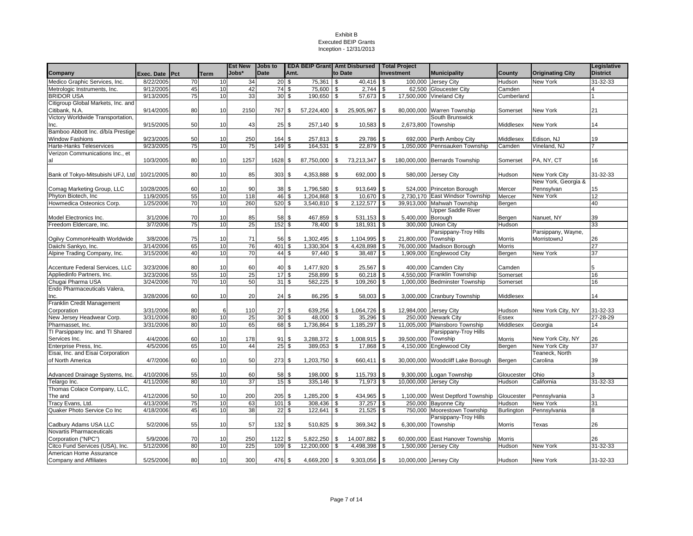|                                    |                |    |             | <b>Est New</b> | <b>Jobs</b> to |                               |              |            | <b>EDA BEIP Grant Amt Disbursed Total Project</b> |      |                        |                                   |              |                         | Legislative     |
|------------------------------------|----------------|----|-------------|----------------|----------------|-------------------------------|--------------|------------|---------------------------------------------------|------|------------------------|-----------------------------------|--------------|-------------------------|-----------------|
| Company                            | Exec. Date Pct |    | <b>Term</b> | Jobs*          | <b>Date</b>    | Amt.                          |              |            | to Date                                           |      | <b>Investment</b>      | <b>Municipality</b>               | County       | <b>Originating City</b> | <b>District</b> |
| Medico Graphic Services, Inc.      | 8/22/2005      | 70 | 10          | 34             | 20S            |                               | 75,361       | <b>S</b>   | $40.416$ \$                                       |      |                        | 100,000 Jersey City               | Hudson       | New York                | 31-32-33        |
| Metrologic Instruments, Inc.       | 9/12/2005      | 45 | 10          | 42             |                | 74 \$                         | 75,600       | \$         | $2,744$ \$                                        |      |                        | 62,500 Gloucester City            | Camden       |                         |                 |
| <b>BRIDOR USA</b>                  | 9/13/2005      | 75 | 10          | 33             |                | $30\sqrt{3}$                  | 190,650      | l \$       | 57,673                                            | \$   |                        | 17,500,000 Vineland City          | Cumberland   |                         |                 |
| Citigroup Global Markets, Inc. and |                |    |             |                |                |                               |              |            |                                                   |      |                        |                                   |              |                         |                 |
| Citibank, N.A.                     | 9/14/2005      | 80 | 10          | 2150           | 767            | <b>S</b>                      | 57,224,400   | \$         | 25,905,967                                        | \$   |                        | 80,000,000 Warren Township        | Somerset     | New York                | 21              |
| Victory Worldwide Transportation,  |                |    |             |                |                |                               |              |            |                                                   |      |                        | South Brunswick                   |              |                         |                 |
| Inc.                               | 9/15/2005      | 50 | 10          | 43             | $25 \,$ \$     |                               | 257,140      | \$         | 10,583                                            | \$   | 2,673,800 Township     |                                   | Middlesex    | New York                | 14              |
| Bamboo Abbott Inc. d/b/a Prestige  |                |    |             |                |                |                               |              |            |                                                   |      |                        |                                   |              |                         |                 |
| <b>Window Fashions</b>             | 9/23/2005      | 50 | 10          | 250            | 164            | <b>S</b>                      | 257,813      | l \$       | 29,786                                            | - \$ |                        | 692,000 Perth Amboy City          | Middlesex    | Edison, NJ              | 19              |
| <b>Harte-Hanks Teleservices</b>    | 9/23/2005      | 75 | 10          | 75             | 149            | \$                            | 164,531      | \$         | 22,879                                            | \$   |                        | 1,050,000 Pennsauken Township     | Camden       | Vineland, NJ            |                 |
| Verizon Communications Inc., et    |                |    |             |                |                |                               |              |            |                                                   |      |                        |                                   |              |                         |                 |
| al                                 | 10/3/2005      | 80 | 10          | 1257           | 1628 \$        |                               | 87,750,000   | \$         | 73,213,347                                        | \$   |                        | 180,000,000 Bernards Township     | Somerset     | PA, NY, CT              | 16              |
|                                    |                |    |             |                |                |                               |              |            |                                                   |      |                        |                                   |              |                         |                 |
| Bank of Tokyo-Mitsubishi UFJ, Ltd  | 10/21/2005     | 80 | 10          | 85             | 303 \$         |                               | 4,353,888 \$ |            | 692,000 \$                                        |      |                        | 580,000 Jersey City               | Hudson       | New York City           | 31-32-33        |
|                                    |                |    |             |                |                |                               |              |            |                                                   |      |                        |                                   |              | New York, Georgia &     |                 |
| Comag Marketing Group, LLC         | 10/28/2005     | 60 | 10          | 90             | $38 \quad$ \$  |                               | 1,796,580    | $\sqrt{3}$ | 913,649 \$                                        |      |                        | 524,000 Princeton Borough         | Mercer       | Pennsylvan              | 15              |
| Phyton Biotech, Inc.               | 11/9/2005      | 55 | 10          | 118            |                | 46 \$                         | 1,204,868    | l \$       | 10,670 \$                                         |      |                        | 2,730,170 East Windsor Township   | Mercer       | New York                | 12              |
| Howmedica Osteonics Corp.          | 1/25/2006      | 70 | 10          | 260            | 520 \$         |                               | 3,540,810    | \$         | $2,122,577$ \$                                    |      | 39,913,000             | Mahwah Township                   | Bergen       |                         | 40              |
|                                    |                |    |             |                |                |                               |              |            |                                                   |      |                        | <b>Upper Saddle River</b>         |              |                         |                 |
| Model Electronics Inc.             | 3/1/2006       | 70 | 10          | 85             | 58 \$          |                               | 467,859      | <b>S</b>   | $531,153$ $\frac{1}{3}$                           |      | 5,400,000 Borough      |                                   | Bergen       | Nanuet, NY              | 39              |
| Freedom Eldercare, Inc.            | 3/7/2006       | 75 | 10          | 25             | 152            | \$                            | 78,400       | <b>S</b>   | 181,931 \$                                        |      |                        | 300,000 Union City                | Hudson       |                         | 33              |
|                                    |                |    |             |                |                |                               |              |            |                                                   |      |                        | Parsippany-Troy Hills             |              | Parsippany, Wayne,      |                 |
| Ogilvy CommonHealth Worldwide      | 3/8/2006       | 75 | 10          | 71             | 56 \$          |                               | 1,302,495    | \$         | 1,104,995                                         | \$   | 21,800,000             | Township                          | Morris       | MorristownJ             | 26              |
| Daiichi Sankyo, Inc.               | 3/14/2006      | 65 | 10          | 76             | 401            | \$                            | 1,330,304    | -\$        | 4,428,898 \$                                      |      |                        | 76,000,000 Madison Borough        | Morris       |                         | $\overline{27}$ |
| Alpine Trading Company, Inc.       | 3/15/2006      | 40 | 10          | 70             | 44S            |                               | 97,440       | <b>S</b>   | 38,487                                            | \$   |                        | 1,909,000 Englewood City          | Bergen       | New York                | $\overline{37}$ |
|                                    |                |    |             |                |                |                               |              |            |                                                   |      |                        |                                   |              |                         |                 |
| Accenture Federal Services, LLC    | 3/23/2006      | 80 | 10          | 60             |                | $40\overline{\smash{)}\,}$ \$ | 1,477,920    | -\$        | 25,567                                            | l \$ |                        | 400,000 Camden City               | Camden       |                         | 5               |
| Appliedinfo Partners, Inc.         | 3/23/2006      | 55 | 10          | 25             | 17             | \$                            | 258,899      | \$         | 60,218                                            | \$   | 4,550,000              | Franklin Township                 | Somerset     |                         | 16              |
| Chugai Pharma USA                  | 3/24/2006      | 70 | 10          | 50             | 31S            |                               | 582,225      | \$         | 109,260                                           | \$   |                        | 1,000,000 Bedminster Township     | Somerset     |                         | 16              |
| Endo Pharmaceuticals Valera,       |                |    |             |                |                |                               |              |            |                                                   |      |                        |                                   |              |                         |                 |
| Inc.                               | 3/28/2006      | 60 | 10          | 20             | 24S            |                               | 86,295 \$    |            | 58,003 \$                                         |      |                        | 3,000,000 Cranbury Township       | Middlesex    |                         | 14              |
| Franklin Credit Management         |                |    |             |                |                |                               |              |            |                                                   |      |                        |                                   |              |                         |                 |
| Corporation                        | 3/31/2006      | 80 | 6           | 110            | 27S            |                               | 639,256      | <b>S</b>   |                                                   |      | 12,984,000 Jersey City |                                   | Hudson       | New York City, NY       | 31-32-33        |
| New Jersey Headwear Corp.          | 3/31/2006      | 80 | 10          | 25             |                | 30S                           | 48,000       | \$         | 35,296                                            | \$   |                        | 250,000 Newark City               | <b>Essex</b> |                         | 27-28-29        |
| Pharmasset, Inc.                   | 3/31/2006      | 80 | 10          | 65             |                | 68 \$                         | 1,736,864    | \$         | 1,185,297 \$                                      |      |                        | 11,005,000 Plainsboro Township    | Middlesex    | Georgia                 | 14              |
| TI Parsippany Inc. and TI Shared   |                |    |             |                |                |                               |              |            |                                                   |      |                        | Parsippany-Troy Hills             |              |                         |                 |
| Services Inc.                      | 4/4/2006       | 60 | 10          | 178            | 91             | \$                            | 3,288,372    | \$         | 1,008,915                                         | \$   | 39,500,000 Township    |                                   | Morris       | New York City, NY       | 26              |
| Enterprise Press, Inc.             | 4/5/2006       | 65 | 10          | 44             | 25             | \$                            | 389,053      | \$         | 17,868 \$                                         |      |                        | 4,150,000 Englewood City          | Bergen       | New York City           | 37              |
| Eisai, Inc. and Eisai Corporation  |                |    |             |                |                |                               |              |            |                                                   |      |                        |                                   |              | Teaneck, North          |                 |
| of North America                   | 4/7/2006       | 60 | 10          | 50             | 273 \$         |                               | 1,203,750    | <b>S</b>   | 660,411                                           | \$   |                        | 30.000.000 Woodcliff Lake Borough | Bergen       | Carolina                | 39              |
|                                    |                |    |             |                |                |                               |              |            |                                                   |      |                        |                                   |              |                         |                 |
| Advanced Drainage Systems, Inc.    | 4/10/2006      | 55 | 10          | 60             | 58 \$          |                               | 198,000      | <b>S</b>   | 115,793 \$                                        |      |                        | 9,300,000 Logan Township          | Gloucester   | Ohio                    |                 |
| Telargo Inc.                       | 4/11/2006      | 80 | 10          | 37             |                | 15S                           | 335,146 \$   |            | $71,973$ \$                                       |      | 10,000,000 Jersey City |                                   | Hudson       | California              | 31-32-33        |
| Thomas Colace Company, LLC,        |                |    |             |                |                |                               |              |            |                                                   |      |                        |                                   |              |                         |                 |
| The and                            | 4/12/2006      | 50 | 10          | 200            | 205S           |                               | 1,285,200    | <b>S</b>   | 434,965 \$                                        |      |                        | 1,100,000 West Deptford Township  | Gloucester   | Pennsylvania            |                 |
| Tracy Evans, Ltd.                  | 4/13/2006      | 75 | 10          | 63             | 101            | \$                            | 308,436      | \$         | 37,257                                            | \$   |                        | 250,000 Bayonne City              | Hudson       | New York                | 31              |
| Quaker Photo Service Co Inc        | 4/18/2006      | 45 | 10          | 38             | 22             | \$                            | 122,641      | \$         | $21,525$ \$                                       |      | 750,000                | Moorestown Township               | Burlington   | Pennsylvania            | 8               |
|                                    |                |    |             |                |                |                               |              |            |                                                   |      |                        | Parsippany-Troy Hills             |              |                         |                 |
| Cadbury Adams USA LLC              | 5/2/2006       | 55 | 10          | 57             | 132 \$         |                               | 510,825      | \$         | 369,342 \$                                        |      | 6,300,000 Township     |                                   | Morris       | Texas                   | 26              |
| Novartis Pharmaceuticals           |                |    |             |                |                |                               |              |            |                                                   |      |                        |                                   |              |                         |                 |
| Corporation ("NPC")                | 5/9/2006       | 70 | 10          | 250            | 1122           | \$                            | 5,822,250    | -\$        | 14,007,882                                        | \$   |                        | 60,000,000 East Hanover Township  | Morris       |                         | 26              |
| Citco Fund Services (USA), Inc.    | 5/12/2006      | 80 | 10          | 225            | 109            | \$                            | 12,200,000   | \$         | 4,498,398                                         | \$   | 1,500,000              | <b>Jersey City</b>                | Hudson       | New York                | 31-32-33        |
| American Home Assurance            |                |    |             |                |                |                               |              |            |                                                   |      |                        |                                   |              |                         |                 |
| <b>Company and Affiliates</b>      | 5/25/2006      | 80 | 10          | 300            | 476 \$         |                               | 4,669,200 \$ |            | $9,303,056$ \$                                    |      | 10,000,000 Jersey City |                                   | Hudson       | New York                | 31-32-33        |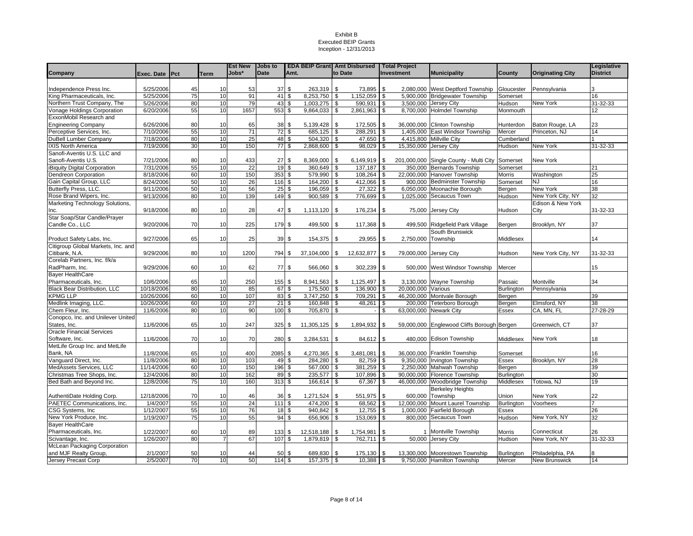|                                     |                |    |             | <b>Est New</b> | Jobs to     |                         | <b>EDA BEIP Grant</b> Amt Disbursed |                         |                      | Total Project |                    |                                                 |                   |                         | Legislative     |
|-------------------------------------|----------------|----|-------------|----------------|-------------|-------------------------|-------------------------------------|-------------------------|----------------------|---------------|--------------------|-------------------------------------------------|-------------------|-------------------------|-----------------|
| Company                             | Exec. Date Pct |    | <b>Term</b> | Jobs*          | <b>Date</b> | Amt.                    |                                     | to Date                 |                      | Investment    |                    | <b>Municipality</b>                             | County            | <b>Originating City</b> | <b>District</b> |
|                                     |                |    |             |                |             |                         |                                     |                         |                      |               |                    |                                                 |                   |                         |                 |
| Independence Press Inc.             | 5/25/2006      | 45 | 10          | 53             | 37          | \$                      | 263,319                             | \$                      | 73,895               | \$            |                    | 2,080,000 West Deptford Township                | Gloucester        | Pennsylvania            |                 |
| King Pharmaceuticals, Inc.          | 5/25/2006      | 75 | 10          | 91             | 41          | \$                      | 8,253,750                           | \$                      | 1,152,059            | \$            |                    | 5.900.000 Bridgewater Township                  | Somerset          |                         | 16              |
| Northern Trust Company, The         | 5/26/2006      | 80 | 10          | 79             | 43          | \$                      | 1,003,275                           | \$                      | 590,931              | $\sqrt{3}$    |                    | 3,500,000 Jersey City                           | Hudson            | New York                | $31 - 32 - 33$  |
| Vonage Holdings Corporation         | 6/20/2006      | 55 | 10          | 1657           | 553         | \$                      | 9,864,033                           | \$                      | 2,861,963            | <b>S</b>      |                    | 8,700,000 Holmdel Township                      | Monmouth          |                         | 12              |
| ExxonMobil Research and             |                |    |             |                |             |                         |                                     |                         |                      |               |                    |                                                 |                   |                         |                 |
| <b>Engineering Company</b>          | 6/26/2006      | 80 | 10          | 65             | 38          | \$                      | 5,139,428                           | \$                      | 172,505              | <b>S</b>      |                    | 36,000,000 Clinton Township                     | Hunterdon         | Baton Rouge, LA         | 23              |
| Perceptive Services, Inc.           | 7/10/2006      | 55 | 10          | 71             |             | 72S                     | 685,125                             | \$                      | 288,291              | l \$          |                    | 1,405,000 East Windsor Township                 | Mercer            | Princeton, NJ           | 14              |
| DuBell Lumber Company               | 7/18/2006      | 80 | 10          | 25             | 48 \$       |                         | 504,320                             | \$                      | 47,650               | <b>S</b>      |                    | 4,415,800 Millville City                        | Cumberland        |                         |                 |
| IXIS North America                  | 7/19/2006      | 30 | 10          | 150            | 77S         |                         | 2,868,600                           | \$                      | 98,029               | <b>S</b>      |                    | 15,350,000 Jersey City                          | Hudson            | New York                | 31-32-33        |
| Sanofi-Aventis U.S. LLC and         |                |    |             |                |             |                         |                                     |                         |                      |               |                    |                                                 |                   |                         |                 |
| Sanofi-Aventis U.S.                 | 7/21/2006      | 80 | 10          | 433            | 27          | \$                      | 8,369,000                           | \$                      | 6,149,919            | l \$          |                    | 201,000,000 Single County - Multi City Somerset |                   | New York                |                 |
| iBiquity Digital Corporation        | 7/31/2006      | 55 | 10          | 22             | 19          | \$                      | 360,649                             | \$                      | 137,187              | \$            |                    | 350,000 Bernards Township                       | Somerset          |                         | 21              |
| Dendreon Corporation                | 8/18/2006      | 60 | 10          | 150            | 353         | \$                      | 579,990                             | \$                      | 108,264              | $\sqrt{3}$    |                    | 22,000,000 Hanover Township                     | Morris            | Washington              | 25              |
| Gain Capital Group, LLC             | 8/24/2006      | 50 | 10          | 26             | 116         | \$                      | 164,200                             | \$                      | 412,066 \$           |               |                    | 900,000 Bedminster Township                     | Somerset          | <b>NJ</b>               | 16              |
| Butterfly Press, LLC.               | 9/11/2006      | 50 | 10          | 56             | 25          | \$                      | 196,059                             | \$                      | 27,322               | <b>S</b>      |                    | 6,050,000 Moonachie Borough                     | Bergen            | New York                | 38              |
| Rose Brand Wipers, Inc.             | 9/13/2006      | 80 | 10          | 139            | 149         | \$                      | 900,589                             | \$                      | 776,699              | <b>S</b>      |                    | 1,025,000 Secaucus Town                         | Hudson            | New York City, NY       | $\overline{32}$ |
| Marketing Technology Solutions,     |                |    |             |                |             |                         |                                     |                         |                      |               |                    |                                                 |                   | Edison & New York       |                 |
| Inc.                                | 9/18/2006      | 80 | 10          | 28             | 47          | \$                      | 1,113,120                           | \$                      | 176,234              | <b>S</b>      |                    | 75,000 Jersey City                              | Hudson            | City                    | 31-32-33        |
| Star Soap/Star Candle/Prayer        |                |    |             |                |             |                         |                                     |                         |                      |               |                    |                                                 |                   |                         |                 |
| Candle Co., LLC                     | 9/20/2006      | 70 | 10          | 225            | 179         | \$                      | 499,500                             | \$                      | 117,368              | \$            |                    | 499,500 Ridgefield Park Village                 | Bergen            | Brooklyn, NY            | 37              |
|                                     |                |    |             |                |             |                         |                                     |                         |                      |               |                    | South Brunswick                                 |                   |                         |                 |
| Product Safety Labs, Inc.           | 9/27/2006      | 65 | 10          | 25             | 39          | \$                      | 154,375                             | \$                      | 29,955               | -\$           | 2,750,000 Township |                                                 | Middlesex         |                         | 14              |
| Citigroup Global Markets, Inc. and  |                |    |             |                |             |                         |                                     |                         |                      |               |                    |                                                 |                   |                         |                 |
| Citibank, N.A.                      | 9/29/2006      | 80 | 10          | 1200           | 794         | \$                      | 37,104,000                          | <b>S</b>                | 12,632,877           | \$            |                    | 79,000,000 Jersey City                          | Hudson            | New York City, NY       | 31-32-33        |
| Corelab Partners. Inc. f/k/a        |                |    |             |                |             |                         |                                     |                         |                      |               |                    |                                                 |                   |                         |                 |
| RadPharm, Inc.                      | 9/29/2006      | 60 | 10          | 62             | 77          | \$                      | 566,060                             | \$                      | 302,239              | <b>S</b>      |                    | 500,000 West Windsor Township                   | Mercer            |                         | 15              |
| <b>Bayer HealthCare</b>             |                |    |             |                |             |                         |                                     |                         |                      |               |                    |                                                 |                   |                         |                 |
| Pharmaceuticals, Inc.               | 10/6/2006      | 65 | 10          | 250            | 155         | \$                      | 8,941,563                           | \$                      | 1,125,497            | \$            |                    | 3,130,000 Wayne Township                        | Passaic           | Montville               | 34              |
| <b>Black Bear Distribution, LLC</b> | 10/18/2006     | 80 | 10          | 85             | 67          | $\overline{\mathbf{s}}$ | 175,500                             | \$                      | 136,900              | $\sqrt{3}$    | 20,000,000 Various |                                                 | Burlington        | Pennsylvania            |                 |
| <b>KPMG LLP</b>                     | 10/26/2006     | 60 | 10          | 107            | 83          | \$                      | 3,747,250                           | \$                      | 709,291              | \$            |                    | 46,200,000 Montvale Borough                     | Bergen            |                         | 39              |
| Medlink Imaging, LLC.               | 10/26/2006     | 60 | 10          | 27             | 21          | \$                      | 160,848                             | \$                      | 48,261               | \$            |                    | 200,000 Teterboro Borough                       | Bergen            | Elmsford, NY            | 38              |
| Chem Fleur, Inc.                    | 11/6/2006      | 80 | 10          | 90             | 100         | $\mathfrak s$           | 705,870                             | \$                      |                      | \$            |                    | 63,000,000 Newark City                          | <b>Essex</b>      | CA, MN, FL              | 27-28-29        |
| Conopco, Inc. and Unilever United   |                |    |             |                |             |                         |                                     |                         |                      |               |                    |                                                 |                   |                         |                 |
| States, Inc.                        | 11/6/2006      | 65 | 10          | 247            | 325         | \$                      | 11,305,125                          | \$                      | 1,894,932            | <b>S</b>      |                    | 59,000,000 Englewood Cliffs Borough Bergen      |                   | Greenwich, CT           | 37              |
| <b>Oracle Financial Services</b>    |                |    |             |                |             |                         |                                     |                         |                      |               |                    |                                                 |                   |                         |                 |
| Software, Inc.                      | 11/6/2006      | 70 | 10          | 70             | 280         | \$                      | 3,284,531                           | \$                      | 84,612 \$            |               |                    | 480,000 Edison Township                         | Middlesex         | New York                | 18              |
| MetLife Group Inc. and MetLife      |                |    |             |                |             |                         |                                     |                         |                      |               |                    |                                                 |                   |                         |                 |
| Bank, NA                            | 11/8/2006      | 65 | 10          | 400            | 2085        | \$                      | 4,270,365                           | \$                      | 3,481,081            | \$            |                    | 36,000,000 Franklin Township                    | Somerset          |                         | 16              |
| Vanguard Direct, Inc.               | 11/8/2006      | 80 | 10          | 103            | 49          | $\mathbf{s}$            | 284,280                             | $\overline{\mathbf{s}}$ | 82,759               | <b>S</b>      |                    | 9,350,000 Irvington Township                    | Essex             | Brooklyn, NY            | 28              |
| MedAssets Services, LLC             | 11/14/2006     | 60 | 10          | 150            | 196         | \$                      | 567,000                             | \$                      | 381,259 \$           |               |                    | 2,250,000 Mahwah Township                       | Bergen            |                         | 39              |
|                                     |                | 80 | 10          | 162            |             |                         |                                     |                         |                      |               |                    |                                                 |                   |                         | 30              |
| Christmas Tree Shops, Inc.          | 12/4/2006      | 75 | 10          | 160            | 89<br>313   | \$<br>\$                | 235,577                             | \$<br>\$                | 107,896 \$<br>67,367 | <b>S</b>      |                    | 90,000,000 Florence Township                    | Burlington        |                         | 19              |
| Bed Bath and Beyond Inc.            | 12/8/2006      |    |             |                |             |                         | 166,614                             |                         |                      |               |                    | 46,000,000 Woodbridge Township                  | Middlesex         | Totowa, NJ              |                 |
|                                     |                |    |             |                |             |                         |                                     |                         |                      |               |                    | <b>Berkeley Heights</b>                         |                   |                         |                 |
| AuthentiDate Holding Corp.          | 12/18/2006     | 70 | 10          | 46             | 36          | \$                      | 1,271,524                           | \$                      | 551,975              | <b>S</b>      |                    | 600,000 Township                                | Union             | New York                | 22              |
| PAETEC Communications, Inc.         | 1/4/2007       | 55 | 10          | 24             | 111         | \$                      | 474,200                             | \$                      | 68,562               | \$            |                    | 12,000,000 Mount Laurel Township                | <b>Burlington</b> | Voorhees                |                 |
| CSG Systems, Inc                    | 1/12/2007      | 55 | 10          | 76             | 18          | \$                      | 940,842                             | \$                      | 12,755               | <b>S</b>      |                    | 1,000,000 Fairfield Borough                     | Essex             |                         | 26              |
| New York Produce, Inc.              | 1/19/2007      | 75 | 10          | 55             | 94          | \$                      | 656,906                             | \$                      | 153,069 \$           |               |                    | 800,000 Secaucus Town                           | Hudson            | New York, NY            | 32              |
| <b>Bayer HealthCare</b>             |                |    |             |                |             |                         |                                     |                         |                      |               |                    |                                                 |                   |                         |                 |
| Pharmaceuticals, Inc.               | 1/22/2007      | 60 | 10          | 89             | 133         | \$                      | 12,518,188                          | \$                      | 1,754,981            | -\$           |                    | 1 Montville Township                            | Morris            | Connecticut             | 26              |
| Scivantage, Inc.                    | 1/26/2007      | 80 |             | 67             | 107         | \$                      | 1,879,819                           | \$                      | 762,711              | \$            |                    | 50,000 Jersey City                              | Hudson            | New York, NY            | 31-32-33        |
| McLean Packaging Corporation        |                |    |             |                |             |                         |                                     |                         |                      |               |                    |                                                 |                   |                         |                 |
| and MJF Realty Group,               | 2/1/2007       | 50 | 10          | 44             | 50          | \$                      | 689,830                             | \$                      | 175,130              | \$            |                    | 13,300,000 Moorestown Township                  | Burlington        | Philadelphia, PA        | 8               |
| Jersey Precast Corp                 | 2/5/2007       | 70 | 10          | 50             | 114S        |                         | 157,375                             | \$                      | 10,388 \$            |               |                    | 9,750,000 Hamilton Township                     | Mercer            | <b>New Brunswick</b>    | 14              |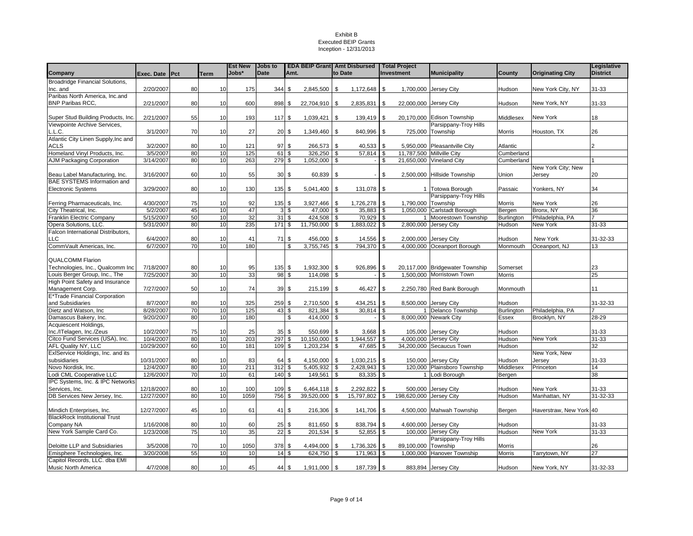|                                        |                        |    |          | <b>Est New</b> | <b>Jobs to</b> |                         | <b>EDA BEIP Grant Amt Disbursed</b> |          |              |                          | <b>Total Project</b>    |                                 |            |                         | Legislative     |
|----------------------------------------|------------------------|----|----------|----------------|----------------|-------------------------|-------------------------------------|----------|--------------|--------------------------|-------------------------|---------------------------------|------------|-------------------------|-----------------|
| Company                                | Exec. Date <b>IPct</b> |    | Term     | Jobs*          | <b>Date</b>    | Amt.                    |                                     |          | to Date      |                          | <b>Investment</b>       | <b>Municipality</b>             | County     | <b>Originating City</b> | <b>District</b> |
| <b>Broadridge Financial Solutions,</b> |                        |    |          |                |                |                         |                                     |          |              |                          |                         |                                 |            |                         |                 |
| Inc. and                               | 2/20/2007              | 80 | 10       | 175            | 344            | \$                      | 2,845,500 \$                        |          | 1,172,648    | \$                       |                         | 1,700,000 Jersey City           | Hudson     | New York City, NY       | 31-33           |
| Paribas North America, Inc.and         |                        |    |          |                |                |                         |                                     |          |              |                          |                         |                                 |            |                         |                 |
| <b>BNP Paribas RCC.</b>                | 2/21/2007              | 80 | 10       | 600            | 898            | \$                      | 22,704,910 \$                       |          | 2,835,831    | $\overline{\phantom{a}}$ | 22,000,000 Jersey City  |                                 | Hudson     | New York, NY            | $31 - 33$       |
|                                        |                        |    |          |                |                |                         |                                     |          |              |                          |                         |                                 |            |                         |                 |
| Super Stud Building Products, Inc.     | 2/21/2007              | 55 | 10       | 193            | 117            | \$                      | $1,039,421$ \$                      |          | 139,419 \$   |                          |                         | 20,170,000 Edison Township      | Middlesex  | New York                | 18              |
| Viewpointe Archive Services,           |                        |    |          |                |                |                         |                                     |          |              |                          |                         | Parsippany-Troy Hills           |            |                         |                 |
| L.L.C.                                 | 3/1/2007               | 70 | 10       | 27             | 20             | \$                      | 1,349,460 \$                        |          | 840,996      | \$                       |                         | 725,000 Township                | Morris     | Houston, TX             | 26              |
| Atlantic City Linen Supply, Inc and    |                        |    |          |                |                |                         |                                     |          |              |                          |                         |                                 |            |                         |                 |
| <b>ACLS</b>                            | 3/2/2007               | 80 | 10       | 121            | 97             | \$                      | 266,573                             | <b>S</b> | 40,533       | \$                       |                         | 5,950,000 Pleasantville City    | Atlantic   |                         |                 |
| Homeland Vinyl Products, Inc.          | 3/5/2007               | 80 | 10       | 125            | 61             | $\overline{\mathbf{s}}$ | 326,250                             | - \$     | $57,814$ \$  |                          | 11.787.500              | <b>Millville City</b>           | Cumberland |                         |                 |
| AJM Packaging Corporation              | 3/14/2007              | 80 | 10       | 263            | 279            | \$                      | 1,052,000 \$                        |          |              | \$                       |                         | 21,650,000 Vineland City        | Cumberland |                         |                 |
|                                        |                        |    |          |                |                |                         |                                     |          |              |                          |                         |                                 |            | New York City; New      |                 |
| Beau Label Manufacturing, Inc.         | 3/16/2007              | 60 | 10       | 55             | 30             | \$                      | 60,839                              | l \$     |              | \$                       |                         | 2,500,000 Hillside Township     | Union      | Jersey                  | 20              |
| <b>BAE SYSTEMS Information and</b>     |                        |    |          |                |                |                         |                                     |          |              |                          |                         |                                 |            |                         |                 |
| <b>Electronic Systems</b>              | 3/29/2007              | 80 | 10       | 130            | 135            | \$                      | $5,041,400$ \$                      |          | 131,078      | \$                       |                         | 1 Totowa Borough                | Passaic    | Yonkers, NY             | 34              |
|                                        |                        |    |          |                |                |                         |                                     |          |              |                          |                         | Parsippany-Troy Hills           |            |                         |                 |
| Ferring Pharmaceuticals, Inc.          | 4/30/2007              | 75 | 10       | 92             | 135            | \$                      | 3,927,466                           | \$       | 1,726,278    | \$                       | 1,790,000               | Township                        | Morris     | New York                | 26              |
| City Theatrical, Inc.                  | 5/2/2007               | 45 | 10       | 47             | 3 <sup>1</sup> | \$                      | 47,000                              | - \$     | 35,883       | l \$                     | 1,050,000               | Carlstadt Borough               | Bergen     | Bronx, NY               | 36              |
| Franklin Electric Company              | 5/15/2007              | 50 | 10       | 32             | 31             | \$                      | 424,508                             | -\$      | $70,929$ \$  |                          |                         | Moorestown Township             | Burlington | Philadelphia, PA        |                 |
| Opera Solutions, LLC.                  | 5/31/2007              | 80 | 10       | 235            | 171            | \$                      | 11,750,000                          | \$       | 1,883,022 \$ |                          | 2,800,000               | Jersey City                     | Hudson     | New York                | 31-33           |
| alcon International Distributors,      |                        |    |          |                |                |                         |                                     |          |              |                          |                         |                                 |            |                         |                 |
| LLC                                    | 6/4/2007               | 80 | 10       | 41             | 71             | \$                      | 456,000 \$                          |          | 14,556       | -\$                      | 2,000,000               | Jersey City                     | Hudson     | New York                | 31-32-33        |
| CommVault Americas, Inc.               | 6/7/2007               | 70 | 10       | 180            |                | \$                      | 3,755,745                           | <b>S</b> | 794,370      | $\mathfrak{s}$           |                         | 4,000,000 Oceanport Borough     | Monmouth   | Oceanport, NJ           | 13              |
|                                        |                        |    |          |                |                |                         |                                     |          |              |                          |                         |                                 |            |                         |                 |
| <b>QUALCOMM Flarion</b>                |                        |    |          |                |                |                         |                                     |          |              |                          |                         |                                 |            |                         |                 |
| Technologies, Inc., Qualcomm Inc.      | 7/18/2007              | 80 | 10       | 95             | 135            | \$                      | 1,932,300 \$                        |          | 926,896      | \$                       |                         | 20.117.000 Bridgewater Township | Somerset   |                         | 23              |
| Louis Berger Group, Inc., The          | 7/25/2007              | 30 | 10       | 33             | 98             | \$                      | 114.098                             | \$       |              | \$                       | 1.500.000               | Morristown Town                 | Morris     |                         | 25              |
| High Point Safety and Insurance        |                        |    |          |                |                |                         |                                     |          |              |                          |                         |                                 |            |                         |                 |
| Management Corp.                       | 7/27/2007              | 50 | 10       | 74             | 39             | \$                      | 215,199                             | l \$     | 46,427       | \$                       |                         | 2,250,780 Red Bank Borough      | Monmouth   |                         | 11              |
| E*Trade Financial Corporation          |                        |    |          |                |                |                         |                                     |          |              |                          |                         |                                 |            |                         |                 |
| and Subsidiaries                       | 8/7/2007               | 80 | 10       | 325            | 259            | \$                      | $2,710,500$ \$                      |          | 434,251      | \$.                      | 8,500,000               | Jersey City                     | Hudson     |                         | 31-32-33        |
| Dietz and Watson, Inc.                 | 8/28/2007              | 70 | 10       | 125            | 43             | \$                      | 821,384                             | \$       | 30,814       | \$                       |                         | Delanco Township                | Burlington | Philadelphia, PA        |                 |
| Damascus Bakery, Inc.                  | 9/20/2007              | 80 | 10       | 180            |                | \$                      | 414,000 \$                          |          |              | $\mathfrak{s}$           | 8,000,000               | <b>Newark City</b>              | Essex      | Brooklyn, NY            | 28-29           |
| Acquiescent Holdings,                  |                        |    |          |                |                |                         |                                     |          |              |                          |                         |                                 |            |                         |                 |
| Inc./ITelagen, Inc./Zeus               | 10/2/2007              | 75 | 10       | 25             | 35             | \$                      | 550,699                             | l \$     | 3,668        | \$                       |                         | 105,000 Jersey City             | Hudson     |                         | $31 - 33$       |
| Citco Fund Services (USA), Inc.        | 10/4/2007              | 80 | 10       | 203            | 297            | \$                      | $10,150,000$ \$                     |          | 1,944,557    | \$                       |                         | 4,000,000 Jersey City           | Hudson     | New York                | $31 - 33$       |
| AFL Quality NY, LLC                    | 10/29/2007             | 60 | 10       | 181            | 109            | \$                      | 1,203,234                           | - \$     | 47,685       | \$                       | 34,200,000              | Secaucus Town                   | Hudson     |                         | 32              |
| ExlService Holdings, Inc. and its      |                        |    |          |                |                |                         |                                     |          |              |                          |                         |                                 |            | New York, New           |                 |
| subsidiaries                           | 10/31/2007             | 80 | 10       | 83             | 64             | \$                      | 4,150,000                           | <b>S</b> | 1,030,215    | \$                       | 150,000                 | Jersey City                     | Hudson     | Jersey                  | $31 - 33$       |
| Novo Nordisk, Inc.                     | 12/4/2007              | 80 | 10       | 211            | 312            | \$                      | 5,405,932                           | \$       | 2,428,943    | -\$                      | 120,000                 | Plainsboro Township             | Middlesex  | Princeton               | 14              |
|                                        | 12/6/2007              | 70 | 10       | 61             | 140            | \$                      |                                     | \$       | 83,335 \$    |                          |                         |                                 |            |                         | 38              |
| odi CML Cooperative LLC                |                        |    |          |                |                |                         | 149,561                             |          |              |                          |                         | Lodi Borough                    | Bergen     |                         |                 |
| IPC Systems, Inc. & IPC Networks       |                        |    |          |                |                |                         |                                     |          |              |                          |                         |                                 |            |                         |                 |
| Services, Inc.                         | 12/18/2007             | 80 | 10<br>10 | 100            | 109            | \$                      | 6,464,118                           | <b>S</b> | 2,292,822    | \$                       | 500,000                 | Jersey City                     | Hudson     | New York                | $31 - 33$       |
| DB Services New Jersey, Inc.           | 12/27/2007             | 80 |          | 1059           | 756            | \$                      | 39,520,000                          | -\$      | 15,797,802   | \$                       | 198,620,000 Jersey City |                                 | Hudson     | Manhattan, NY           | $31 - 32 - 33$  |
|                                        |                        |    |          |                |                |                         |                                     |          |              |                          |                         |                                 |            |                         |                 |
| Mindich Enterprises, Inc.              | 12/27/2007             | 45 | 10       | 61             | 41             | \$                      | 216,306                             | l \$     | 141,706      | \$                       | 4,500,000               | Mahwah Township                 | Bergen     | Haverstraw, New York 40 |                 |
| <b>BlackRock Institutional Trust</b>   |                        |    |          |                |                |                         |                                     |          |              |                          |                         |                                 |            |                         |                 |
| Company NA                             | 1/16/2008              | 80 | 10       | 60             | 25             | \$                      | 811,650 \$                          |          | 838,794      | \$                       | 4,600,000               | Jersey City                     | Hudson     |                         | 31-33           |
| New York Sample Card Co.               | 1/23/2008              | 75 | 10       | 35             | 22             | \$                      | 201,534                             | \$       | 52,855       | \$                       | 100,000                 | Jersey City                     | Hudson     | New York                | 31-33           |
|                                        |                        |    |          |                |                |                         |                                     |          |              |                          |                         | Parsippany-Troy Hills           |            |                         |                 |
| Deloitte LLP and Subsidiaries          | 3/5/2008               | 70 | 10       | 1050           | 378            | \$                      | 4,494,000                           | \$       | 1,736,326    | \$                       | 89,100,000              | Township                        | Morris     |                         | 26              |
| Emisphere Technologies, Inc.           | 3/20/2008              | 55 | 10       | 10             | 14             | \$                      | 624,750                             | \$       | 171,963      | \$                       | 1,000,000               | Hanover Township                | Morris     | Tarrytown, NY           | $\overline{27}$ |
| Capitol Records, LLC. dba EMI          |                        |    |          |                |                |                         |                                     |          |              |                          |                         |                                 |            |                         |                 |
| Music North America                    | 4/7/2008               | 80 | 10       | 45             | 44             | \$                      | 1,911,000 \$                        |          | 187,739 \$   |                          |                         | 883,894 Jersey City             | Hudson     | New York, NY            | 31-32-33        |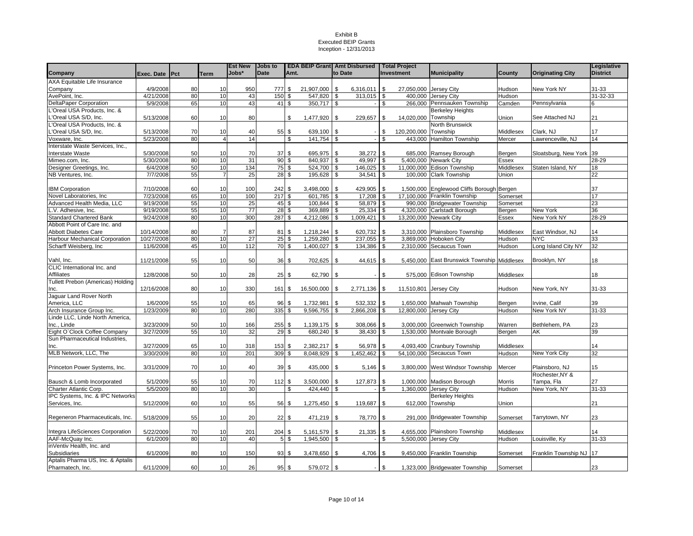|                                                            |                       |    |                | <b>Est New</b> | <b>Jobs to</b> |                | <b>EDA BEIP Grant Amt Disbursed</b> |               |                |            | <b>Total Project</b>   |                                             |                     |                         | Legislative     |
|------------------------------------------------------------|-----------------------|----|----------------|----------------|----------------|----------------|-------------------------------------|---------------|----------------|------------|------------------------|---------------------------------------------|---------------------|-------------------------|-----------------|
| Company                                                    | Exec. Date Pct        |    | <b>Term</b>    | Jobs*          | <b>Date</b>    | Amt.           |                                     | to Date       |                |            | Investment             | <b>Municipality</b>                         | County              | <b>Originating City</b> | <b>District</b> |
| AXA Equitable Life Insurance                               |                       |    |                |                |                |                |                                     |               |                |            |                        |                                             |                     |                         |                 |
| Company                                                    | 4/9/2008              | 80 | 10             | 950            | 777 \$         |                | 21,907,000                          | \$            | 6,316,011      | <b>S</b>   | 27,050,000 Jersey City |                                             | Hudson              | New York NY             | 31-33           |
| AvePoint, Inc.                                             | 4/21/2008             | 80 | 10             | 43             | 150            | - \$           | 547,820                             | \$            | 313,015        | <b>S</b>   |                        | 400.000 Jersey City                         | Hudson              |                         | 31-32-33        |
| DeltaPaper Corporation                                     | 5/9/2008              | 65 | 10             | 43             | 41S            |                | 350,717                             | \$            |                | \$         |                        | 266,000 Pennsauken Township                 | Camden              | Pennsylvania            | 6               |
| L'Oreal USA Products, Inc. &                               |                       |    |                |                |                |                |                                     |               |                |            |                        | <b>Berkeley Heights</b>                     |                     |                         |                 |
| .'Oreal USA S/D, Inc.                                      | 5/13/2008             | 60 | 10             | 80             |                | \$             | 1,477,920                           | \$            | 229,657        | l \$       | 14,020,000             | Township                                    | Union               | See Attached NJ         | 21              |
| L'Oreal USA Products, Inc. &                               |                       |    |                |                |                |                |                                     |               |                |            |                        | North Brunswick                             |                     |                         |                 |
| 'Oreal USA S/D, Inc.                                       | 5/13/2008             | 70 | 10             | 40             | 55 \$          |                | 639,100                             | \$            |                | \$         | 120,200,000            | Township                                    | Middlesex           | Clark, NJ               | 17              |
| Voxware, Inc.                                              | 5/23/2008             | 80 | $\overline{4}$ | 14             |                | \$             | 141,754                             | \$            |                | \$         |                        | 443,000 Hamilton Township                   | Mercer              | Lawrenceville, NJ       | 14              |
| Interstate Waste Services, Inc.,                           |                       |    |                |                |                |                |                                     |               |                |            |                        |                                             |                     |                         |                 |
| Interstate Waste                                           | 5/30/2008             | 50 | 10             | 70             | 37S            |                | 695,975                             | \$            | 38,272         | <b>S</b>   |                        | 685,000 Ramsey Borough                      | Bergen              | Sloatsburg, New York 39 |                 |
| Mimeo.com, Inc.                                            | 5/30/2008             | 80 | 10             | 31             | $90\sqrt{3}$   |                | 840,937                             | \$            | 49,997         | l \$       |                        | 5,400,000 Newark City                       | Essex               |                         | $28 - 29$       |
| Designer Greetings, Inc.                                   | 6/4/2008              | 50 | $10$           | 134            | 75 \$          |                | 524,700                             | \$            | 146,025        | $\sqrt{3}$ | 11,000,000             | <b>Edison Township</b>                      | Middlesex           | Staten Island, NY       | 18              |
| NB Ventures, Inc.                                          | 7/7/2008              | 55 | $\overline{7}$ | 25             | 28S            |                | 195,628                             | \$            | 34,541         | $\sqrt{3}$ |                        | 100,000 Clark Township                      | Union               |                         | 22              |
|                                                            |                       |    |                |                |                |                |                                     |               |                |            |                        |                                             |                     |                         |                 |
| <b>IBM Corporation</b>                                     | 7/10/2008             | 60 | 10             | 100            | 242            | \$             | 3,498,000                           | \$            | 429,905        | l \$       |                        | 1,500,000 Englewood Cliffs Borough Bergen   |                     |                         | 37              |
| Novel Laboratories, Inc                                    | 7/23/2008             | 65 | 10             | 100            | 217S           |                | 601,785                             | \$            | 17,208         | <b>S</b>   |                        | 17,100,000 Franklin Township                | Somerset            |                         | 17              |
| Advanced Health Media, LLC                                 | 9/19/2008             | 55 | 10             | 25             | 45 \$          |                | 100.844                             | \$            | 58,879 \$      |            | 990.000                | <b>Bridgewater Township</b>                 | Somerset            |                         | 23              |
| L.V. Adhesive, Inc.                                        | 9/19/2008             | 55 | 10             | 77             |                | 28S            | 369,889                             | \$            | $25,334$ \$    |            |                        | 4,320,000 Carlstadt Borough                 | Bergen              | New York                | 36              |
| <b>Standard Chartered Bank</b>                             | 9/24/2008             | 80 | 10             | 300            | 287S           |                | 4,212,086                           | S,            | $1,009,421$ \$ |            | 13,200,000 Newark City |                                             | Essex               | New York NY             | $28 - 29$       |
| Abbott Point of Care Inc. and                              |                       |    |                |                |                |                |                                     |               |                |            |                        |                                             |                     |                         |                 |
| Abbott Diabetes Care                                       | 10/14/2008            | 80 | -7             | 87             | 81             | -\$            | 1,218,244                           | \$            | 620,732        | l \$       |                        | 3,310,000 Plainsboro Township               | Middlesex           | East Windsor, NJ        | 14              |
| Harbour Mechanical Corporation                             | 10/27/2008            | 80 | 10             | 27             | 25S            |                | 1,259,280                           | \$            | 237,055        | $\sqrt{3}$ |                        | 3,869,000 Hoboken City                      | Hudson              | <b>NYC</b>              | 33              |
| Scharff Weisberg, Inc.                                     | 11/6/2008             | 45 | 10             | 112            | 70S            |                | 1,400,027                           | s,            | 134,386        | \$         |                        | 2,310,000 Secaucus Town                     | Hudson              | Long Island City NY     | 32              |
|                                                            |                       |    |                |                |                |                |                                     |               |                |            |                        |                                             |                     |                         |                 |
| Vahl, Inc.                                                 | 11/21/2008            | 55 | 10             | 50             | 36             | \$             | 702,625                             | \$            | 44,615         | <b>S</b>   |                        | 5,450,000 East Brunswick Township Middlesex |                     | Brooklyn, NY            | 18              |
| CLIC International Inc. and                                |                       |    |                |                |                |                |                                     |               |                |            |                        |                                             |                     |                         |                 |
| Affiliates                                                 | 12/8/2008             | 50 | 10             | 28             | $25$ \$        |                | 62,790                              | \$            |                | \$         |                        | 575,000 Edison Township                     | Middlesex           |                         | 18              |
| Tullett Prebon (Americas) Holding                          |                       |    |                |                |                |                |                                     |               |                |            |                        |                                             |                     |                         |                 |
| Inc.                                                       | 12/16/2008            | 80 | 10             | 330            | 161 \$         |                | 16,500,000                          | \$            | 2,771,136      | $\sqrt{3}$ | 11,510,801             | <b>Jersey City</b>                          | <b>Hudson</b>       | New York, NY            | 31-33           |
| Jaguar Land Rover North                                    |                       |    |                |                |                |                |                                     |               |                |            |                        |                                             |                     |                         |                 |
| America, LLC                                               | 1/6/2009              | 55 | 10             | 65             | 96             | \$             | 1,732,981                           | \$            | 532,332        | l \$       |                        | 1,650,000 Mahwah Township                   | Bergen              | Irvine, Calif           | 39              |
| Arch Insurance Group Inc.                                  | 1/23/2009             | 80 | 10             | 280            | 335            | \$             | 9,596,755                           | \$            | 2,866,208      | <b>S</b>   | 12,800,000 Jersey City |                                             | Hudson              | New York NY             | $31 - 33$       |
| Linde LLC. Linde North America.                            |                       |    |                |                |                |                |                                     |               |                |            |                        |                                             |                     |                         |                 |
| Inc., Linde                                                | 3/23/2009             | 50 | 10             | 166            | 255            | \$             | 1,139,175                           | \$            | 308,066        | l \$       |                        | 3,000,000 Greenwich Township                | Warren              | Bethlehem, PA           | 23              |
| Eight O'Clock Coffee Company                               | 3/27/2009             | 55 | 10             | 32             | 29             | \$             | 680,240                             | \$            | 38,430         | l \$       |                        | 1,530,000 Montvale Borough                  | Bergen              | AK                      | 39              |
| Sun Pharmaceutical Industries,                             |                       |    |                |                |                |                |                                     |               |                |            |                        |                                             |                     |                         |                 |
| Inc.                                                       | 3/27/2009             | 65 | 10             | 318            | 153            | \$             | 2,382,217                           | \$            | 56,978         | l \$       |                        | 4,093,400 Cranbury Township                 | Middlesex           |                         | 14              |
| MLB Network, LLC, The                                      | 3/30/2009             | 80 | 10             | 201            | 309            | \$             | 8,048,929                           | \$            | 1,452,462      | \$         |                        | 54,100,000 Secaucus Town                    | Hudson              | New York City           | $\overline{32}$ |
|                                                            |                       |    |                |                |                |                |                                     |               |                |            |                        |                                             |                     |                         |                 |
| Princeton Power Systems, Inc.                              | 3/31/2009             | 70 | 10             | 40             | 39             | \$             | 435,000                             | \$            | 5,146          | <b>S</b>   |                        | 3,800,000 West Windsor Township             | Mercer              | Plainsboro, NJ          | 15              |
|                                                            |                       |    |                |                |                |                |                                     |               |                |            |                        |                                             |                     | Rochester, NY &         |                 |
| Bausch & Lomb Incorporated                                 | 5/1/2009              | 55 | 10             | 70             | 112S           |                | 3,500,000                           | \$            | 127,873        | $\sqrt{3}$ |                        | 1,000,000 Madison Borough                   | Morris              | Tampa, Fla              | 27              |
| Charter Atlantic Corp.<br>IPC Systems, Inc. & IPC Networks | 5/5/2009              | 80 | 10             | 30             |                | \$             | 424,440                             | \$            |                | \$         | 1,360,000              | Jersey City                                 | Hudson              | New York, NY            | $31 - 33$       |
| Services, Inc.                                             | 5/12/2009             | 60 | 10             | 55             | 56             | \$             | 1,275,450                           | \$            | 119,687        | \$         |                        | <b>Berkeley Heights</b><br>612,000 Township | Union               |                         | 21              |
|                                                            |                       |    |                |                |                |                |                                     |               |                |            |                        |                                             |                     |                         |                 |
| Regeneron Pharmaceuticals, Inc.                            |                       | 55 |                |                |                |                |                                     |               |                |            |                        | 291,000 Bridgewater Township                |                     |                         |                 |
|                                                            | 5/18/2009             |    | 10             | 20             | $22 \sqrt{3}$  |                | 471,219                             | \$            | 78,770         | l \$       |                        |                                             | Somerset            | Tarrytown, NY           | 23              |
|                                                            |                       | 70 | 10             | 201            | 204            | \$             |                                     | \$            |                | $\sqrt{3}$ |                        | 4,655,000 Plainsboro Township               |                     |                         | 14              |
| Integra LifeSciences Corporation<br>AAF-McQuay Inc.        | 5/22/2009<br>6/1/2009 | 80 | 10             | 40             |                | 5 <sup>5</sup> | 5,161,579<br>1,945,500              | \$            | 21,335         | <b>S</b>   | 5,500,000              | <b>Jersey City</b>                          | Middlesex<br>Hudson | Louisville, Ky          | 31-33           |
| inVentiv Health, Inc. and                                  |                       |    |                |                |                |                |                                     |               |                |            |                        |                                             |                     |                         |                 |
| Subsidiaries                                               | 6/1/2009              | 80 | 10             | 150            | 93             | - \$           | 3,478,650                           | \$            | 4,706          | \$         |                        | 9,450,000 Franklin Township                 | Somerset            | Franklin Township NJ    | 17              |
| Aptalis Pharma US, Inc. & Aptalis                          |                       |    |                |                |                |                |                                     |               |                |            |                        |                                             |                     |                         |                 |
| Pharmatech, Inc.                                           | 6/11/2009             | 60 | 10             | 26             |                | $95$ \$        | 579,072                             | $\mathfrak s$ |                | \$         |                        | 1,323,000 Bridgewater Township              | Somerset            |                         | 23              |
|                                                            |                       |    |                |                |                |                |                                     |               |                |            |                        |                                             |                     |                         |                 |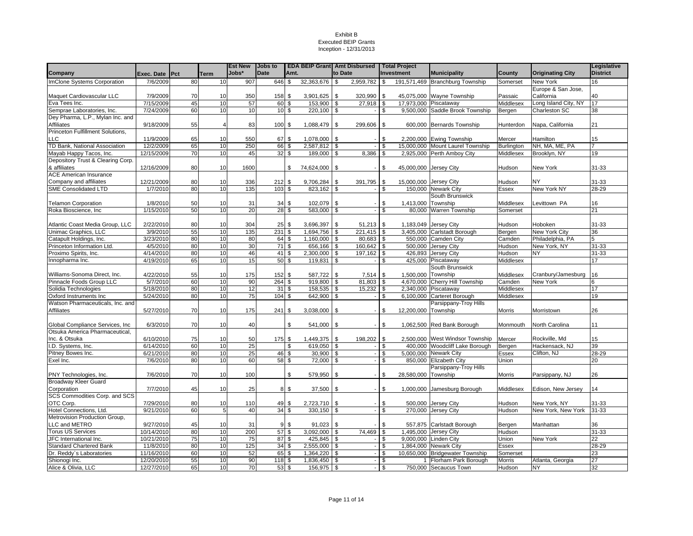|                                   |            |          |                 | <b>Est New</b> | <b>Jobs to</b> |       | <b>EDA BEIP Grant Amt Disbursed</b> |          |                | <b>Total Project</b> |                     |                                  |            |                         | Legislative     |
|-----------------------------------|------------|----------|-----------------|----------------|----------------|-------|-------------------------------------|----------|----------------|----------------------|---------------------|----------------------------------|------------|-------------------------|-----------------|
| Company                           | Exec. Date | Pct      | Term            | Jobs*          | <b>Date</b>    | Amt.  |                                     |          | to Date        | <b>Investment</b>    |                     | <b>Municipality</b>              | County     | <b>Originating City</b> | <b>District</b> |
| ImClone Systems Corporation       | 7/6/2009   | 80       | 10              | 907            | 646            | \$    | 32,363,676                          | l \$     | 2,959,782      | \$                   |                     | 191,571,469 Branchburg Township  | Somerset   | New York                | 16              |
|                                   |            |          |                 |                |                |       |                                     |          |                |                      |                     |                                  |            | Europe & San Jose,      |                 |
| Maquet Cardiovascular LLC         | 7/9/2009   | 70       | 10              | 350            | 158            | \$    | 3,901,625                           | <b>S</b> | 320,990        | \$.                  |                     | 45.075.000 Wayne Township        | Passaic    | California              | 40              |
| Eva Tees Inc.                     | 7/15/2009  | 45       | 10              | 57             | 60             | \$    | 153,900                             | <b>S</b> | 27.918 \$      |                      | 17.973.000          | Piscataway                       | Middlesex  | Long Island City, NY    | 17              |
| Semprae Laboratories, Inc.        | 7/24/2009  | 60       | 10              | 10             |                | 10S   | 220,100 \$                          |          |                | \$.                  |                     | 9,500,000 Saddle Brook Township  | Bergen     | Charleston SC           | 38              |
| Dey Pharma, L.P., Mylan Inc. and  |            |          |                 |                |                |       |                                     |          |                |                      |                     |                                  |            |                         |                 |
| Affiliates                        | 9/18/2009  | 55       | 4               | 83             | 100            | \$    | 1,088,479 \$                        |          | 299,606        | \$                   |                     | 600,000 Bernards Township        | Hunterdon  | Napa, California        | 21              |
| Princeton Fulfillment Solutions,  |            |          |                 |                |                |       |                                     |          |                |                      |                     |                                  |            |                         |                 |
| <b>LLC</b>                        | 11/9/2009  | 65       | 10              | 550            | 67             | \$    | 1,078,000 \$                        |          |                | .S                   |                     | 2,200,000 Ewing Township         | Mercer     | Hamilton                | 15              |
| TD Bank, National Association     | 12/2/2009  | 65       | 10              | 250            | 66             | \$    | 2,587,812                           | <b>S</b> |                | \$                   |                     | 15,000,000 Mount Laurel Township | Burlington | NH, MA, ME, PA          |                 |
| Mayab Happy Tacos, Inc.           | 12/15/2009 | 70       | 10              | 45             | 32             | \$    | 189,000                             | \$       | 8,386          | \$                   | 2,925,000           | Perth Amboy City                 | Middlesex  | Brooklyn, NY            | 19              |
| Depository Trust & Clearing Corp. |            |          |                 |                |                |       |                                     |          |                |                      |                     |                                  |            |                         |                 |
| & affiliates                      | 12/16/2009 | 80       | 10              | 1600           |                | \$    | 74,624,000 \$                       |          |                | \$.                  | 45,000,000          | Jersey City                      | Hudson     | New York                | 31-33           |
| <b>ACE American Insurance</b>     |            |          |                 |                |                |       |                                     |          |                |                      |                     |                                  |            |                         |                 |
| Company and affiliates            | 12/21/2009 | 80       | 10              | 336            | 212            | \$    | 9,706,284                           | \$       | 391,795        | \$                   | 15,000,000          | Jersey City                      | Hudson     | NΥ                      | 31-33           |
| <b>SME Consolidated LTD</b>       | 1/7/2010   | 80       | 10              | 135            | 103            | \$    | 823,162                             | \$       |                | \$                   | 150,000             | <b>Newark City</b>               | Essex      | New York NY             | $28 - 29$       |
|                                   |            |          |                 |                |                |       |                                     |          |                |                      |                     | South Brunswick                  |            |                         |                 |
| <b>Telamon Corporation</b>        | 1/8/2010   | 50       | 10              | 31             | 34             | \$    | 102,079                             | -\$      |                | .ፍ                   | 1,413,000           | Township                         | Middlesex  | Levittown PA            | 16              |
| Roka Bioscience, Inc.             | 1/15/2010  | 50       | 10              | 20             | 28             | \$    | 583.000                             | -S       |                | . ፍ                  | 80.000              | Warren Township                  | Somerset   |                         | 21              |
|                                   |            |          |                 |                |                |       |                                     |          |                |                      |                     |                                  |            |                         |                 |
| Atlantic Coast Media Group, LLC   | 2/22/2010  | 80       | 10              | 304            | 25             | \$    | 3,696,397                           | -\$      | 51,213         | \$                   | 1,183,049           | Jersey City                      | Hudson     | Hoboken                 | $31 - 33$       |
| Unimac Graphics, LLC              | 3/9/2010   | 55       | 10              | 135            | 231            | \$    | 1,694,756                           | - \$     | $221.415$ \$   |                      | 3,405,000           | Carlstadt Borough                | Bergen     | New York City           | 36              |
| Catapult Holdings, Inc.           | 3/23/2010  | 80       | 10              | 80             | 64             | \$    | 1,160,000                           | l \$     | 80,683 \$      |                      | 550.000             | <b>Camden City</b>               | Camden     | Philadelphia, PA        | 5               |
| Princeton Information Ltd.        | 4/5/2010   | 80       | 10              | 30             | 71             | \$    | 656,166                             | - \$     | $160,642$ \ \$ |                      |                     | 500,000 Jersey City              | Hudson     | New York, NY            | $31 - 33$       |
| Proximo Spirits, Inc.             | 4/14/2010  | 80       | 10              | 46             | 41             | \$    | 2,300,000                           | <b>S</b> | 197,162        | \$                   | 426,893             | Jersey City                      | Hudson     | NΥ                      | 31-33           |
| Innopharma Inc.                   | 4/19/2010  | 65       | 10              | 15             | 50             | \$    | 119,831                             | \$       |                | $\mathfrak{s}$       | 425,000             | Piscataway                       | Middlesex  |                         | 17              |
|                                   |            |          |                 |                |                |       |                                     |          |                |                      |                     | South Brunswick                  |            |                         |                 |
| Williams-Sonoma Direct, Inc.      | 4/22/2010  | 55       | 10              | 175            | 152            | \$    | 587,722                             | \$       | 7,514          | \$                   | 1,500,000           | Township                         | Middlesex  | Cranbury/Jamesburg      | 16              |
| Pinnacle Foods Group LLC          | 5/7/2010   | 60       | 10              | 90             | 264            | \$    | 919,800                             | -\$      | 81,803         | -\$                  | 4,670,000           | Cherry Hill Township             | Camden     | New York                | 6               |
| Solidia Technologies              | 5/18/2010  | 80       | 10              | 12             | 31             | \$    | 158,535                             | <b>S</b> | 15,232         | \$                   |                     | 2,340,000 Piscataway             | Middlesex  |                         | 17              |
| Oxford Instruments Inc            | 5/24/2010  | 80       | 10              | 75             | 104            | \$    | 642,900                             | \$       |                | \$                   | 6,100,000           | Carteret Borough                 | Middlesex  |                         | 19              |
| Watson Pharmaceuticals, Inc. and  |            |          |                 |                |                |       |                                     |          |                |                      |                     | Parsippany-Troy Hills            |            |                         |                 |
| Affiliates                        | 5/27/2010  | 70       | 10              | 175            | 241            | \$    | 3,038,000 \$                        |          |                | \$                   | 12,200,000 Township |                                  | Morris     | Morristown              | 26              |
|                                   |            |          |                 |                |                |       |                                     |          |                |                      |                     |                                  |            |                         |                 |
| Global Compliance Services, Inc.  | 6/3/2010   | 70       | 10              | 40             |                | \$    | 541,000 \$                          |          |                | \$.                  |                     | 1,062,500 Red Bank Borough       | Monmouth   | North Carolina          | 11              |
| Otsuka America Pharmaceutical,    |            |          |                 |                |                |       |                                     |          |                |                      |                     |                                  |            |                         |                 |
| Inc. & Otsuka                     | 6/10/2010  | 75       | 10              | 50             | 175            | \$    | $1,449,375$ \$                      |          | 198.202        | \$                   |                     | 2,500,000 West Windsor Township  | Mercer     | Rockville, Md           | 15              |
| D. Systems, Inc.                  | 6/14/2010  | 60       | 10              | 25             |                | \$    | 619.050                             | l \$     |                | \$.                  |                     | 400,000 Woodcliff Lake Borough   | Bergen     | Hackensack, NJ          | 39              |
| Pitney Bowes Inc.                 | 6/21/2010  | 80       | 10              | 25             | 46             | \$    | 30,900                              | l \$     |                | \$                   | 5,000,000           | <b>Newark City</b>               | Essex      | Clifton, NJ             | 28-29           |
| Exel Inc.                         | 7/6/2010   | 80       | 10              | 60             |                | 58 \$ | 72,000                              | l \$     |                | \$                   | 850.000             | <b>Elizabeth City</b>            | Union      |                         | 20              |
|                                   |            |          |                 |                |                |       |                                     |          |                |                      |                     | Parsippany-Troy Hills            |            |                         |                 |
| PNY Technologies, Inc.            | 7/6/2010   | 70       | 10              | 100            |                | \$    | 579,950                             | l \$     |                | \$                   | 28,580,000 Township |                                  | Morris     | Parsippany, NJ          | 26              |
| Broadway Kleer Guard              |            |          |                 |                |                |       |                                     |          |                |                      |                     |                                  |            |                         |                 |
| Corporation                       | 7/7/2010   | 45       | 10              | 25             | 8              | \$    | 37,500                              | l \$     |                | \$                   | 1,000,000           | Jamesburg Borough                | Middlesex  | Edison, New Jersey      | 14              |
| SCS Commodities Corp. and SCS     |            |          |                 |                |                |       |                                     |          |                |                      |                     |                                  |            |                         |                 |
| OTC Corp.                         | 7/29/2010  | 80       | 10              | 110            | 49             | \$    | 2,723,710 \$                        |          |                | \$                   | 500,000             | Jersey City                      | Hudson     | New York, NY            | 31-33           |
| Hotel Connections, Ltd.           | 9/21/2010  | 60       | 5               | 40             | 34             | \$    | 330,150                             | - \$     |                |                      | 270,000             | <b>Jersey City</b>               | Hudson     | New York, New York      | 31-33           |
| Metrovision Production Group,     |            |          |                 |                |                |       |                                     |          |                |                      |                     |                                  |            |                         |                 |
| LLC and METRO                     | 9/27/2010  |          | 10              | 31             | 9              | \$    | 91,023                              | \$       |                | \$                   |                     |                                  |            |                         |                 |
|                                   |            | 45<br>80 | 10              | 200            | 57             |       | 3,092,000                           | <b>S</b> | 74,469         | \$                   | 557,875             | Carlstadt Borough                | Bergen     | Manhattan               | 36<br>31-33     |
| <b>Torus US Services</b>          | 10/14/2010 | 75       |                 | 75             | 87             | \$    |                                     |          |                | £.                   | 1,495,000           | Jersey City                      | Hudson     |                         | 22              |
| JFC International Inc.            | 10/21/2010 |          | 10              |                |                | \$    | 425,845                             | \$       |                |                      | 9.000.000           | inden Citv                       | Union      | New York                |                 |
| <b>Standard Chartered Bank</b>    | 11/8/2010  | 80       | 10              | 125            | 34             | \$    | 2,555,000                           | <b>S</b> |                | \$                   | 1.864.000           | Newark Citv                      | Essex      |                         | 28-29           |
| Dr. Reddy's Laboratories          | 11/16/2010 | 60       | 10              | 52             | 65             | \$    | 1,364,220 \$                        |          |                | \$                   |                     | 10,650,000 Bridgewater Township  | Somerset   |                         | 23              |
| Shionogi Inc.                     | 12/20/2010 | 55       | 10              | 90             | 118            | -\$   | 1,836,450                           | - \$     |                | \$                   | $\mathbf{1}$        | Florham Park Borough             | Morris     | Atlanta, Georgia        | 27              |
| Alice & Olivia, LLC               | 12/27/2010 | 65       | 10 <sup>1</sup> | 70             |                | 53 \$ | 156,975 \$                          |          |                | \$                   |                     | 750,000 Secaucus Town            | Hudson     | NY                      | 32              |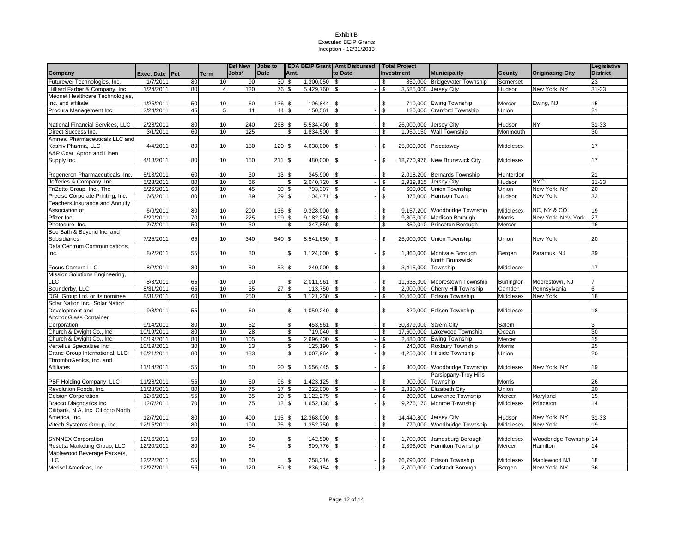|                                                              |                |          |                | <b>Est New</b> | <b>Jobs to</b>           |                                      |                    | <b>EDA BEIP Grant Amt Disbursed   Total Project</b> |              |                        |                                                      |                     |                         | Legislative     |
|--------------------------------------------------------------|----------------|----------|----------------|----------------|--------------------------|--------------------------------------|--------------------|-----------------------------------------------------|--------------|------------------------|------------------------------------------------------|---------------------|-------------------------|-----------------|
| Company                                                      | Exec. Date Pct |          | <b>Term</b>    | Jobs*          | <b>Date</b>              | Amt.                                 |                    | to Date                                             |              | Investment             | <b>Municipality</b>                                  | County              | <b>Originating City</b> | <b>District</b> |
| Futurewei Technologies, Inc.                                 | 1/7/2011       | 80       | 10             | 90             | 30S                      |                                      | $1,300,050$ \$     |                                                     | \$           |                        | 850,000 Bridgewater Township                         | Somerset            |                         | 23              |
| Hilliard Farber & Company, Inc.                              | 1/24/2011      | 80       | $\overline{4}$ | 120            | 76 \$                    | 5,429,760                            | \$                 |                                                     | \$           |                        | 3,585,000 Jersey City                                | Hudson              | New York, NY            | $31 - 33$       |
| Mednet Healthcare Technologies,                              |                |          |                |                |                          |                                      |                    |                                                     |              |                        |                                                      |                     |                         |                 |
| Inc. and affiliate                                           | 1/25/2011      | 50       | 10             | 60             | 136 \$                   | 106,844                              | \$                 |                                                     | \$           |                        | 710,000 Ewing Township                               | Mercer              | Ewing, NJ               | 15              |
| Procura Management Inc.                                      | 2/24/2011      | 45       | 5              | 41             | 44                       | 150,561<br>\$                        | \$                 |                                                     | \$           |                        | 120,000 Cranford Township                            | Union               |                         | 21              |
|                                                              |                |          |                |                |                          |                                      |                    |                                                     |              |                        |                                                      |                     |                         |                 |
| National Financial Services, LLC                             | 2/28/2011      | 80       | 10             | 240            | 268 \$                   | 5,534,400                            | \$                 |                                                     | \$           | 26,000,000             | <b>Jersey City</b>                                   | Hudson              | <b>NY</b>               | 31-33           |
| Direct Success Inc.                                          | 3/1/2011       | 60       | 10             | 125            |                          | 1,834,500<br>\$.                     |                    |                                                     | \$           |                        | 1,950,150 Wall Township                              | Monmouth            |                         | 30              |
| Amneal Pharmaceuticals LLC and                               |                |          |                |                |                          |                                      |                    |                                                     |              |                        |                                                      |                     |                         |                 |
| Kashiv Pharma, LLC                                           | 4/4/2011       | 80       | 10             | 150            | 120S                     | 4,638,000                            | \$                 |                                                     | \$           | 25,000,000 Piscataway  |                                                      | Middlesex           |                         | 17              |
| A&P Coat, Apron and Linen                                    |                |          |                |                |                          |                                      |                    |                                                     |              |                        |                                                      |                     |                         |                 |
| Supply Inc.                                                  | 4/18/2011      | 80       | 10             | 150            | 211S                     | 480,000                              | \$                 |                                                     | \$           |                        | 18,770,976 New Brunswick City                        | Middlesex           |                         | 17              |
|                                                              | 5/18/2011      |          |                |                |                          |                                      | 345.900            |                                                     |              |                        |                                                      |                     |                         | 21              |
| Regeneron Pharmaceuticals, Inc.<br>Jefferies & Company, Inc. | 5/23/2011      | 60<br>80 | 10<br>10       | 30<br>66       | 13S                      | \$                                   | \$<br>2,040,720 \$ |                                                     | \$<br>\$     |                        | 2,018,200 Bernards Township<br>2,939,815 Jersey City | Hunterdon<br>Hudson | <b>NYC</b>              | 31-33           |
| TriZetto Group, Inc., The                                    | 5/26/2011      | 60       | 10             | 45             | 30 <sup>5</sup>          |                                      | 793,307            | \$                                                  | \$           |                        | 600,000 Union Township                               | Union               | New York, NY            | 20              |
| Precise Corporate Printing, Inc.                             | 6/6/2011       | 80       | 10             | 39             | 39 \$                    | 104,471                              | \$                 |                                                     | \$           |                        | 375,000 Harrison Town                                | Hudson              | New York                | 32              |
| Teachers Insurance and Annuity                               |                |          |                |                |                          |                                      |                    |                                                     |              |                        |                                                      |                     |                         |                 |
| Association of                                               | 6/9/2011       | 80       | 10             | 200            | 136 \$                   | 9,328,000                            | \$                 |                                                     | \$           |                        | 9,157,200 Woodbridge Township                        | Middlesex           | NC, NY & CO             | 19              |
| Pfizer Inc.                                                  | 6/20/2011      | 70       | 10             | 225            | 199                      | \$                                   | $9,182,250$ \$     |                                                     | \$           |                        | 9,803,000 Madison Borough                            | <b>Morris</b>       | New York, New York      | 27              |
| Photocure, Inc.                                              | 7/7/2011       | 50       | 10             | 30             |                          | \$                                   | 347,850            | \$                                                  | \$           |                        | 350,010 Princeton Borough                            | Mercer              |                         | 16              |
| Bed Bath & Beyond Inc. and                                   |                |          |                |                |                          |                                      |                    |                                                     |              |                        |                                                      |                     |                         |                 |
| Subsidiaries                                                 | 7/25/2011      | 65       | 10             | 340            | 540 \$                   | 8,541,650                            | \$                 |                                                     | \$           |                        | 25,000,000 Union Township                            | Union               | New York                | 20              |
| Data Centrum Communications,                                 |                |          |                |                |                          |                                      |                    |                                                     |              |                        |                                                      |                     |                         |                 |
| Inc.                                                         | 8/2/2011       | 55       | 10             | 80             |                          | \$<br>1,124,000                      | \$                 |                                                     | \$           |                        | 1,360,000 Montvale Borough                           | Bergen              | Paramus, NJ             | 39              |
|                                                              |                |          |                |                |                          |                                      |                    |                                                     |              |                        | North Brunswick                                      |                     |                         |                 |
| <b>Focus Camera LLC</b>                                      | 8/2/2011       | 80       | 10             | 50             | 53 \$                    | 240,000                              | \$                 |                                                     | \$           | 3,415,000              | Township                                             | Middlesex           |                         | 17              |
| Mission Solutions Engineering,                               |                |          |                |                |                          |                                      |                    |                                                     |              |                        |                                                      |                     |                         |                 |
| <b>LLC</b>                                                   | 8/3/2011       | 65       | 10             | 90             |                          | \$<br>2,011,961                      | \$                 |                                                     | \$           |                        | 11,635,300 Moorestown Township                       | <b>Burlington</b>   | Moorestown, NJ          |                 |
| Bounderby, LLC                                               | 8/31/2011      | 65       | 10             | 35             | 27S                      | 113.750                              |                    | \$                                                  | \$           |                        | 2,000,000 Cherry Hill Township                       | Camden              | Pennsylvania            | 6               |
| DGL Group Ltd. or its nominee                                | 8/31/2011      | 60       | 10             | 250            |                          | 1,121,250<br>\$                      | \$                 |                                                     | \$           |                        | 10,460,000 Edison Township                           | Middlesex           | New York                | 18              |
| Solar Nation Inc., Solar Nation                              |                |          |                |                |                          |                                      |                    |                                                     |              |                        |                                                      |                     |                         |                 |
| Development and                                              | 9/8/2011       | 55       | 10             | 60             |                          | \$<br>1,059,240                      | \$                 |                                                     | \$           |                        | 320,000 Edison Township                              | Middlesex           |                         | 18              |
| Anchor Glass Container                                       |                |          |                |                |                          |                                      |                    |                                                     |              |                        |                                                      |                     |                         |                 |
| Corporation                                                  | 9/14/2011      | 80       | 10             | 52             |                          | \$<br>453,561                        | \$                 |                                                     | \$           | 30,879,000 Salem City  |                                                      | Salem               |                         |                 |
| Church & Dwight Co., Inc.                                    | 10/19/2011     | 80       | 10             | 28             |                          | \$                                   | 719,040 \$         |                                                     | \$           |                        | 17,600,000 Lakewood Township                         | Ocean               |                         | 30              |
| Church & Dwight Co., Inc.                                    | 10/19/2011     | 80       | 10             | 105            |                          | 2,696,400<br>\$                      |                    | \$                                                  | \$           |                        | 2,480,000 Ewing Township                             | Mercer              |                         | 15              |
| Vertellus Specialties Inc                                    | 10/19/2011     | 30       | 10             | 13             |                          | \$                                   | 125,190 \$         |                                                     | \$           |                        | 240,000 Roxbury Township                             | Morris              |                         | 25              |
| Crane Group International, LLC                               | 10/21/2011     | 80       | 10             | 183            |                          | $\overline{\mathbf{s}}$<br>1,007,964 | \$                 |                                                     | $\mathbf{s}$ |                        | 4,250,000 Hillside Township                          | Union               |                         | $\overline{20}$ |
| ThromboGenics, Inc. and                                      |                |          |                |                |                          |                                      |                    |                                                     |              |                        |                                                      |                     |                         |                 |
| Affiliates                                                   | 11/14/2011     | 55       | 10             | 60             | 20S                      | 1,556,445                            | \$                 |                                                     | \$           |                        | 300,000 Woodbridge Township                          | Middlesex           | New York, NY            | 19              |
|                                                              |                |          |                |                |                          |                                      |                    |                                                     |              |                        | Parsippany-Troy Hills                                |                     |                         |                 |
| PBF Holding Company, LLC                                     | 11/28/2011     | 55       | 10             | 50             | 96S                      |                                      | $1,423,125$ \$     |                                                     | \$           |                        | 900,000 Township                                     | Morris              |                         | 26              |
| Revolution Foods, Inc.                                       | 11/28/2011     | 80       | 10             | 75             | $\overline{27}$          | \$.                                  | 222,000<br>- \$    |                                                     | \$           |                        | 2.830.004 Elizabeth City                             | Union               |                         | $\overline{20}$ |
| <b>Celsion Corporation</b>                                   | 12/6/2011      | 55       | 10             | 35             | 19S                      | 1,122,275                            | - \$               |                                                     | \$           |                        | 200,000 Lawrence Township                            | Mercer              | Maryland                | 15              |
| Bracco Diagnostics Inc.                                      | 12/7/2011      | 70       | 10             | 75             | $12\overline{\smash{5}}$ | 1,652,138                            | -\$                | $\overline{\phantom{a}}$                            | \$           |                        | 9,276,170 Monroe Township                            | Middlesex           | Princeton               | 14              |
| Citibank, N.A. Inc. Citicorp North                           |                |          |                |                |                          |                                      |                    |                                                     |              |                        |                                                      |                     |                         |                 |
| America, Inc.                                                | 12/7/2011      | 80       | 10             | 400            | 115S                     | 12,368,000 \$                        |                    |                                                     | \$           | 14,440,800 Jersey City |                                                      | Hudson              | New York, NY            | $31 - 33$       |
| Vitech Systems Group, Inc.                                   | 12/15/2011     | 80       | 10             | 100            | 75S                      |                                      | $1,352,750$ \$     |                                                     | \$           |                        | 770,000 Woodbridge Township                          | Middlesex           | <b>New York</b>         | 19              |
|                                                              |                |          |                |                |                          |                                      |                    |                                                     |              |                        |                                                      |                     |                         |                 |
| <b>SYNNEX Corporation</b>                                    | 12/16/2011     | 50       | 10             | 50             |                          | \$<br>142,500                        | \$                 |                                                     | \$           | 1,700,000              | Jamesburg Borough                                    | Middlesex           | Woodbridge Township 14  |                 |
| Rosetta Marketing Group, LLC                                 | 12/20/2011     | 80       | 10             | 64             |                          | \$                                   | 909,776<br>-\$     |                                                     | \$           | 1,396,000              | <b>Hamilton Township</b>                             | Mercer              | Hamilton                | 14              |
| Maplewood Beverage Packers,                                  |                |          |                |                |                          |                                      |                    |                                                     |              |                        |                                                      |                     |                         |                 |
| LLC                                                          | 12/22/2011     | 55       | 10             | 60             |                          | \$                                   | 258,316<br>-\$     |                                                     | \$           |                        | 66,790,000 Edison Township                           | Middlesex           | Maplewood NJ            | 18              |
| Merisel Americas, Inc.                                       | 12/27/2011     | 55       | 10             | 120            | 80S                      |                                      | 836,154 \$         | $\sim$                                              | \$           |                        | 2,700,000 Carlstadt Borough                          | Bergen              | New York, NY            | $\overline{36}$ |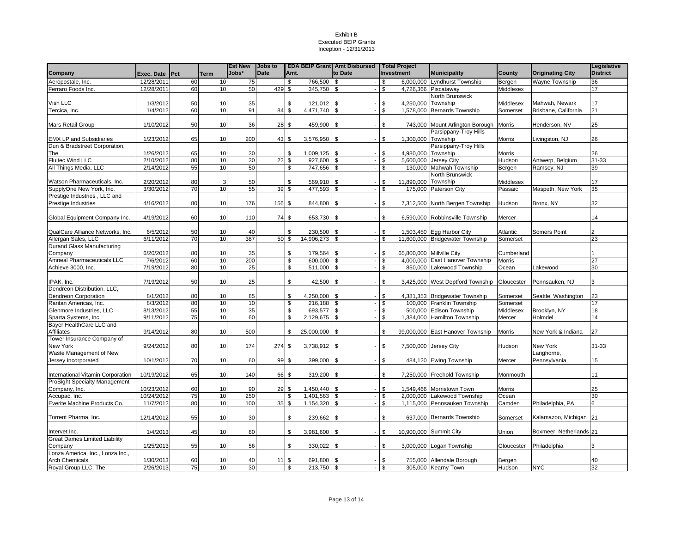|                                                 |                |    |      | <b>Est New   Jobs to</b> |             | <b>EDA BEIP Grant Amt Disbursed   Total Project</b> |                 |                                |                      |                                        |                      |                         | Legislative     |
|-------------------------------------------------|----------------|----|------|--------------------------|-------------|-----------------------------------------------------|-----------------|--------------------------------|----------------------|----------------------------------------|----------------------|-------------------------|-----------------|
| Company                                         | Exec. Date Pct |    | Term | Jobs*                    | <b>Date</b> | Amt.                                                |                 | to Date                        | Investment           | <b>Municipality</b>                    | County               | <b>Originating City</b> | <b>District</b> |
| Aeropostale, Inc.                               | 12/28/2011     | 60 | 10   | 75                       |             | \$                                                  | 766,500         | l \$                           | $-1$ \$              | 6,000,000 Lyndhurst Township           | Bergen               | Wayne Township          | 36              |
| Ferraro Foods Inc.                              | 12/28/2011     | 60 | 10   | 50                       | 429         | \$                                                  | 345,750         | <b>S</b>                       | \$                   | 4,726,366 Piscataway                   | Middlesex            |                         | 17              |
|                                                 |                |    |      |                          |             |                                                     |                 |                                |                      | North Brunswick                        |                      |                         |                 |
| Vish LLC                                        | 1/3/2012       | 50 | 10   | 35                       |             | \$                                                  | 121,012         | l \$                           | 4,250,000<br>\$      | Township                               | Middlesex            | Mahwah, Newark          | 17              |
| Tercica, Inc.                                   | 1/4/2012       | 60 | 10   | 91                       | 84          | \$                                                  | 4,471,740 \$    |                                | \$                   | 1,578,000 Bernards Township            | Somerset             | Brisbane, California    | 21              |
|                                                 |                |    |      |                          |             |                                                     |                 |                                |                      |                                        |                      |                         |                 |
| Mars Retail Group                               | 1/10/2012      | 50 | 10   | 36                       | 28S         |                                                     | 459,900 \$      |                                | \$                   | 743,000 Mount Arlington Borough Morris |                      | Henderson, NV           | 25              |
|                                                 |                |    |      |                          |             |                                                     |                 |                                |                      | Parsippany-Troy Hills                  |                      |                         |                 |
| <b>EMX LP and Subsidiaries</b>                  | 1/23/2012      | 65 | 10   | 200                      |             | $43 \text{ }$ \$                                    | 3,576,950       | \$                             | \$                   | 1,300,000 Township                     | Morris               | Livingston, NJ          | 26              |
| Dun & Bradstreet Corporation,                   |                |    |      |                          |             |                                                     |                 |                                |                      | Parsippany-Troy Hills                  |                      |                         |                 |
| The                                             | 1/26/2012      | 65 | 10   | 30                       |             | \$                                                  | 1,009,125       | \$                             | \$<br>4,980,000      | Township                               | Morris               |                         | 26              |
| <b>Fluitec Wind LLC</b>                         | 2/10/2012      | 80 | 10   | 30                       | 22          | \$                                                  | 927,600         | $\sqrt{3}$                     | 5,600,000<br>- 8     | Jersey City                            | Hudson               | Antwerp, Belgium        | 31-33           |
| All Things Media, LLC                           | 2/14/2012      | 55 | 10   | 50                       |             | \$                                                  | 747,656         | <b>S</b>                       | l s<br>130,000       | Mahwah Township<br>North Brunswick     | Bergen               | Ramsey, NJ              | 39              |
| Watson Pharmaceuticals, Inc.                    | 2/20/2012      | 80 |      | 50                       |             | \$                                                  | 569,910         | \$                             | 11,890,000<br>\$     | Township                               |                      |                         | 17              |
| SupplyOne New York, Inc.                        | 3/30/2012      | 70 | 10   | 55                       | 39          | \$                                                  | 477,593         | l \$                           | 175,000<br>- \$      | <b>Paterson City</b>                   | Middlesex<br>Passaic | Maspeth, New York       | 35              |
| Prestige Industries, LLC and                    |                |    |      |                          |             |                                                     |                 |                                |                      |                                        |                      |                         |                 |
| Prestige Industries                             | 4/16/2012      | 80 | 10   | 176                      | 156         | \$                                                  | 844,800         | \$                             | \$                   | 7,312,500 North Bergen Township        | Hudson               | Bronx, NY               | 32              |
|                                                 |                |    |      |                          |             |                                                     |                 |                                |                      |                                        |                      |                         |                 |
| Global Equipment Company Inc.                   | 4/19/2012      | 60 | 10   | 110                      | 74 \$       |                                                     | 653,730         | $\mathbf{s}$<br>$\blacksquare$ | \$                   | 6,590,000 Robbinsville Township        | Mercer               |                         | 14              |
|                                                 |                |    |      |                          |             |                                                     |                 |                                |                      |                                        |                      |                         |                 |
| QualCare Alliance Networks, Inc.                | 6/5/2012       | 50 | 10   | 40                       |             | \$                                                  | 230,500         | <b>S</b>                       | \$                   | 1,503,450 Egg Harbor City              | Atlantic             | <b>Somers Point</b>     |                 |
| Allergan Sales, LLC                             | 6/11/2012      | 70 | 10   | 387                      | 50          | $\overline{\mathbf{s}}$                             | $14,906,273$ \$ |                                | \$                   | 11,600,000 Bridgewater Township        | Somerset             |                         | 23              |
| Durand Glass Manufacturing                      |                |    |      |                          |             |                                                     |                 |                                |                      |                                        |                      |                         |                 |
| Company                                         | 6/20/2012      | 80 | 10   | 35                       |             | \$                                                  | 179,564         | $\sqrt{3}$<br>$\sim$           | \$                   | 65,800,000 Millville City              | Cumberland           |                         |                 |
| Amneal Pharmaceuticals LLC                      | 7/6/2012       | 60 | 10   | 200                      |             | \$                                                  | 600,000         | <b>S</b>                       | $-1$ \$              | 4,000,000 East Hanover Township        | Morris               |                         | 27              |
| Achieve 3000, Inc.                              | 7/19/2012      | 80 | 10   | 25                       |             | \$                                                  | 511,000 \$      |                                | $-1$ \$<br>850.000   | Lakewood Township                      | Ocean                | Lakewood                | 30              |
|                                                 |                |    |      |                          |             |                                                     |                 |                                |                      |                                        |                      |                         |                 |
| IPAK, Inc.                                      | 7/19/2012      | 50 | 10   | 25                       |             | \$                                                  | 42,500          | <b>S</b>                       | -S                   | 3,425,000 West Deptford Township       | Gloucester           | Pennsauken, NJ          | 3               |
| Dendreon Distribution, LLC,                     |                |    |      |                          |             |                                                     |                 |                                |                      |                                        |                      |                         |                 |
| <b>Dendreon Corporation</b>                     | 8/1/2012       | 80 | 10   | 85                       |             | \$                                                  | 4,250,000       | l \$                           | \$                   | 4,381,353 Bridgewater Township         | Somerset             | Seattle, Washington     | 23              |
| Raritan Americas, Inc.                          | 8/3/2012       | 80 | 10   | 10                       |             | \$                                                  | $216,188$ \$    |                                | $-1$ \$              | 100.000 Franklin Township              | Somerset             |                         | 17              |
| Glenmore Industries, LLC                        | 8/13/2012      | 55 | 10   | 35                       |             | $\overline{\mathcal{E}}$                            | 693,577 \$      |                                | $-1$ \$              | 500,000 Edison Township                | Middlesex            | Brooklyn, NY            | 18              |
| Sparta Systems, Inc.                            | 9/11/2012      | 75 | 10   | 60                       |             | \$                                                  | 2,129,675       | <b>S</b>                       | 1,384,000<br>$-1$ \$ | <b>Hamilton Township</b>               | Mercer               | Holmdel                 | 14              |
| Bayer HealthCare LLC and                        |                |    |      |                          |             |                                                     |                 |                                |                      |                                        |                      |                         |                 |
| <b>Affiliates</b><br>Tower Insurance Company of | 9/14/2012      | 80 | 10   | 500                      |             | \$                                                  | 25,000,000      | <b>S</b>                       | \$                   | 99,000,000 East Hanover Township       | Morris               | New York & Indiana      | 27              |
| New York                                        | 9/24/2012      | 80 | 10   | 174                      | 274 \$      |                                                     | 3,738,912       | l \$                           | \$                   | 7,500,000 Jersey City                  | Hudson               | New York                | 31-33           |
| Waste Management of New                         |                |    |      |                          |             |                                                     |                 |                                |                      |                                        |                      | Langhorne,              |                 |
| Jersey Incorporated                             | 10/1/2012      | 70 | 10   | 60                       |             | 99S                                                 | 399,000         | l \$                           | \$                   | 484,120 Ewing Township                 | Mercer               | Pennsylvania            | 15              |
|                                                 |                |    |      |                          |             |                                                     |                 |                                |                      |                                        |                      |                         |                 |
| International Vitamin Corporation               | 10/19/2012     | 65 | 10   | 140                      | 66          | \$                                                  | 319,200         | l \$                           | \$                   | 7,250,000 Freehold Township            | Monmouth             |                         | 11              |
| <b>ProSight Specialty Management</b>            |                |    |      |                          |             |                                                     |                 |                                |                      |                                        |                      |                         |                 |
| Company, Inc.                                   | 10/23/2012     | 60 | 10   | 90                       | 29          | \$                                                  | 1,450,440       | \$                             | \$                   | 1,549,466 Morristown Town              | Morris               |                         | 25              |
| Accupac, Inc.                                   | 10/24/2012     | 75 | 10   | 250                      |             | \$                                                  | 1,401,563       | \$                             | \$                   | 2,000,000 Lakewood Township            | Ocean                |                         | 30              |
| Everite Machine Products Co.                    | 11/7/2012      | 80 | 10   | 100                      | 35          | \$                                                  | 1,154,320       | \$                             | \$                   | 1,115,000 Pennsauken Township          | Camden               | Philadelphia, PA        |                 |
|                                                 |                |    |      |                          |             |                                                     |                 |                                |                      |                                        |                      |                         |                 |
| Torrent Pharma, Inc.                            | 12/14/2012     | 55 | 10   | 30                       |             | \$                                                  | 239,662         | <b>S</b>                       | \$                   | 637,000 Bernards Township              | Somerset             | Kalamazoo, Michigan 21  |                 |
|                                                 |                |    |      |                          |             |                                                     |                 |                                |                      |                                        |                      |                         |                 |
| Intervet Inc.                                   | 1/4/2013       | 45 | 10   | 80                       |             | \$                                                  | 3,981,600 \$    |                                | \$                   | 10,900,000 Summit City                 | Union                | Boxmeer, Netherlands 21 |                 |
| <b>Great Dames Limited Liability</b>            |                |    |      |                          |             |                                                     |                 |                                |                      |                                        |                      |                         |                 |
| Company                                         | 1/25/2013      | 55 | 10   | 56                       |             | \$                                                  | 330,022         | <b>S</b>                       | \$                   | 3,000,000 Logan Township               | Gloucester           | Philadelphia            |                 |
| Lonza America, Inc., Lonza Inc.,                |                |    |      |                          |             |                                                     |                 |                                |                      |                                        |                      |                         |                 |
| Arch Chemicals,                                 | 1/30/2013      | 60 | 10   | 40                       | 11          | \$                                                  | 691,800         | $\sqrt{3}$                     | \$                   | 755,000 Allendale Borough              | Bergen               |                         | 40              |
| Royal Group LLC, The                            | 2/26/2013      | 75 | 10   | 30                       |             | \$                                                  | 213,750 \$      |                                | l \$                 | 305,000 Kearny Town                    | Hudson               | <b>NYC</b>              | 32              |